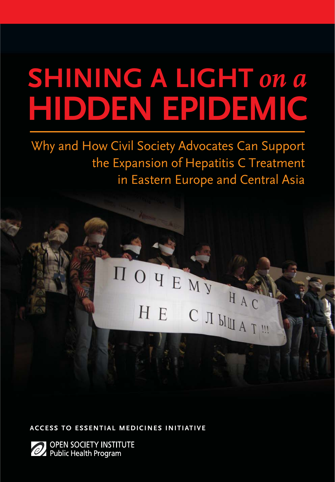# **SHINING A LIGHT on a HIDDEN EPIDEMIC**

Why and How Civil Society Advocates Can Support the Expansion of Hepatitis C Treatment in Eastern Europe and Central Asia

# HOYEMY HA HE C  $\text{I}_{\text{M}_A}$

**ACCESS TO ESSENTIAL MEDICINES INITIATIVE**

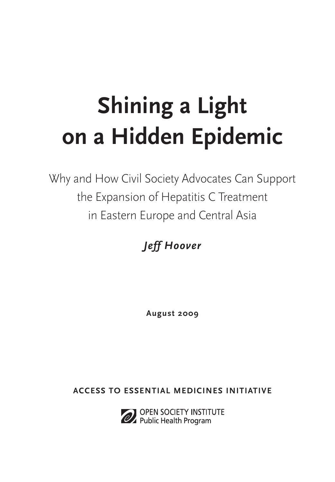# **Shining a Light on a Hidden Epidemic**

Why and How Civil Society Advocates Can Support the Expansion of Hepatitis C Treatment in Eastern Europe and Central Asia

*Jeff Hoover*

**August 2009**

**ACCESS TO ESSENTIAL MEDICINES INITIATIVE**



OPEN SOCIETY INSTITUTE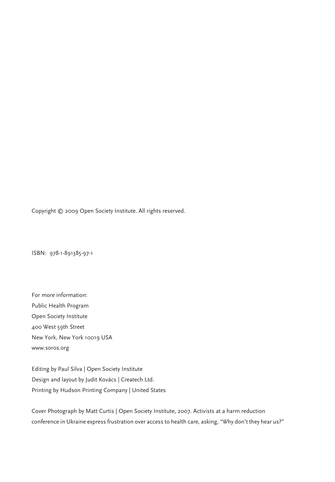Copyright © 2009 Open Society Institute. All rights reserved.

ISBN: 978-1-891385-97-1

For more information: Public Health Program Open Society Institute 400 West 59th Street New York, New York 10019 USA www.soros.org

Editing by Paul Silva | Open Society Institute Design and layout by Judit Kovács | Createch Ltd. Printing by Hudson Printing Company | United States

Cover Photograph by Matt Curtis | Open Society Institute, 2007. Activists at a harm reduction conference in Ukraine express frustration over access to health care, asking, "Why don't they hear us?"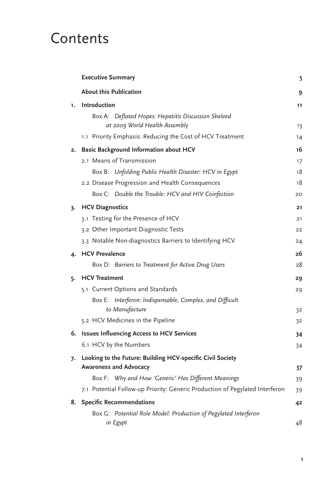# **Contents**

|    | <b>Executive Summary</b>                                                     | 5  |
|----|------------------------------------------------------------------------------|----|
|    | <b>About this Publication</b>                                                | 9  |
| 1. | Introduction                                                                 | 11 |
|    | Box A: Deflated Hopes: Hepatitis Discussion Shelved                          |    |
|    | at 2009 World Health Assembly                                                | 13 |
|    | 1.1 Priority Emphasis: Reducing the Cost of HCV Treatment                    | 14 |
| 2. | <b>Basic Background Information about HCV</b>                                | 16 |
|    | 2.1 Means of Transmission                                                    | 17 |
|    | Box B: Unfolding Public Health Disaster: HCV in Egypt                        | 18 |
|    | 2.2 Disease Progression and Health Consequences                              | 18 |
|    | Box C: Double the Trouble: HCV and HIV Coinfection                           | 20 |
|    | 3. HCV Diagnostics                                                           | 21 |
|    | 3.1 Testing for the Presence of HCV                                          | 21 |
|    | 3.2 Other Important Diagnostic Tests                                         | 22 |
|    | 3.3 Notable Non-diagnostics Barriers to Identifying HCV                      | 24 |
| 4. | <b>HCV Prevalence</b>                                                        | 26 |
|    | Box D: Barriers to Treatment for Active Drug Users                           | 28 |
| 5. | <b>HCV Treatment</b>                                                         | 29 |
|    | 5.1 Current Options and Standards                                            | 29 |
|    | Box E: Interferon: Indispensable, Complex, and Difficult                     |    |
|    | to Manufacture                                                               | 32 |
|    | 5.2 HCV Medicines in the Pipeline                                            | 32 |
|    | 6. Issues Influencing Access to HCV Services                                 | 34 |
|    | 6.1 HCV by the Numbers                                                       | 34 |
|    | 7. Looking to the Future: Building HCV-specific Civil Society                |    |
|    | <b>Awareness and Advocacy</b>                                                | 37 |
|    | Box F: Why and How 'Generic' Has Different Meanings                          | 39 |
|    | 7.1 Potential Follow-up Priority: Generic Production of Pegylated Interferon | 39 |
|    | 8. Specific Recommendations                                                  | 42 |
|    | Box G: Potential Role Model: Production of Pegylated Interferon              |    |
|    | in Egypt                                                                     | 48 |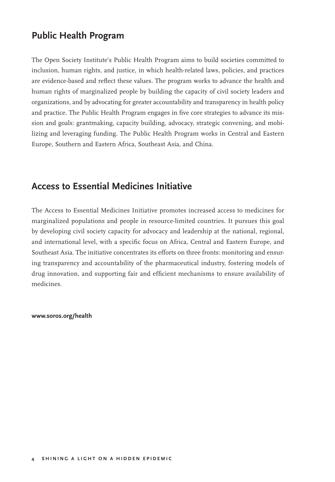## **Public Health Program**

The Open Society Institute's Public Health Program aims to build societies committed to inclusion, human rights, and justice, in which health-related laws, policies, and practices are evidence-based and reflect these values. The program works to advance the health and human rights of marginalized people by building the capacity of civil society leaders and organizations, and by advocating for greater accountability and transparency in health policy and practice. The Public Health Program engages in five core strategies to advance its mission and goals: grantmaking, capacity building, advocacy, strategic convening, and mobilizing and leveraging funding. The Public Health Program works in Central and Eastern Europe, Southern and Eastern Africa, Southeast Asia, and China.

## **Access to Essential Medicines Initiative**

The Access to Essential Medicines Initiative promotes increased access to medicines for marginalized populations and people in resource-limited countries. It pursues this goal by developing civil society capacity for advocacy and leadership at the national, regional, and international level, with a specific focus on Africa, Central and Eastern Europe, and Southeast Asia. The initiative concentrates its efforts on three fronts: monitoring and ensuring transparency and accountability of the pharmaceutical industry, fostering models of drug innovation, and supporting fair and efficient mechanisms to ensure availability of medicines.

**www.soros.org/health**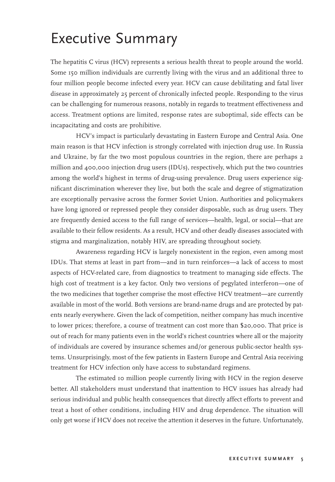# Executive Summary

The hepatitis C virus (HCV) represents a serious health threat to people around the world. Some 150 million individuals are currently living with the virus and an additional three to four million people become infected every year. HCV can cause debilitating and fatal liver disease in approximately 25 percent of chronically infected people. Responding to the virus can be challenging for numerous reasons, notably in regards to treatment effectiveness and access. Treatment options are limited, response rates are suboptimal, side effects can be incapacitating and costs are prohibitive.

HCV's impact is particularly devastating in Eastern Europe and Central Asia. One main reason is that HCV infection is strongly correlated with injection drug use. In Russia and Ukraine, by far the two most populous countries in the region, there are perhaps 2 million and 400,000 injection drug users (IDUs), respectively, which put the two countries among the world's highest in terms of drug-using prevalence. Drug users experience significant discrimination wherever they live, but both the scale and degree of stigmatization are exceptionally pervasive across the former Soviet Union. Authorities and policymakers have long ignored or repressed people they consider disposable, such as drug users. They are frequently denied access to the full range of services—health, legal, or social—that are available to their fellow residents. As a result, HCV and other deadly diseases associated with stigma and marginalization, notably HIV, are spreading throughout society.

Awareness regarding HCV is largely nonexistent in the region, even among most IDUs. That stems at least in part from—and in turn reinforces—a lack of access to most aspects of HCV-related care, from diagnostics to treatment to managing side effects. The high cost of treatment is a key factor. Only two versions of pegylated interferon—one of the two medicines that together comprise the most effective HCV treatment—are currently available in most of the world. Both versions are brand-name drugs and are protected by patents nearly everywhere. Given the lack of competition, neither company has much incentive to lower prices; therefore, a course of treatment can cost more than \$20,000. That price is out of reach for many patients even in the world's richest countries where all or the majority of individuals are covered by insurance schemes and/or generous public-sector health systems. Unsurprisingly, most of the few patients in Eastern Europe and Central Asia receiving treatment for HCV infection only have access to substandard regimens.

The estimated 10 million people currently living with HCV in the region deserve better. All stakeholders must understand that inattention to HCV issues has already had serious individual and public health consequences that directly affect efforts to prevent and treat a host of other conditions, including HIV and drug dependence. The situation will only get worse if HCV does not receive the attention it deserves in the future. Unfortunately,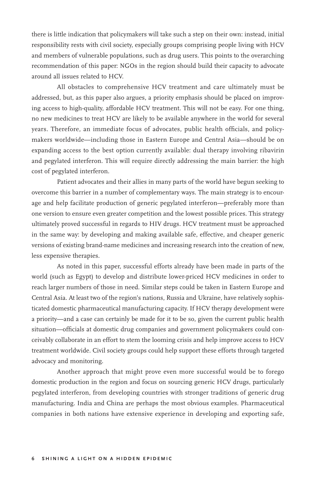there is little indication that policymakers will take such a step on their own: instead, initial responsibility rests with civil society, especially groups comprising people living with HCV and members of vulnerable populations, such as drug users. This points to the overarching recommendation of this paper: NGOs in the region should build their capacity to advocate around all issues related to HCV.

All obstacles to comprehensive HCV treatment and care ultimately must be addressed, but, as this paper also argues, a priority emphasis should be placed on improving access to high-quality, affordable HCV treatment. This will not be easy. For one thing, no new medicines to treat HCV are likely to be available anywhere in the world for several years. Therefore, an immediate focus of advocates, public health officials, and policymakers worldwide—including those in Eastern Europe and Central Asia—should be on expanding access to the best option currently available: dual therapy involving ribavirin and pegylated interferon. This will require directly addressing the main barrier: the high cost of pegylated interferon.

Patient advocates and their allies in many parts of the world have begun seeking to overcome this barrier in a number of complementary ways. The main strategy is to encourage and help facilitate production of generic pegylated interferon—preferably more than one version to ensure even greater competition and the lowest possible prices. This strategy ultimately proved successful in regards to HIV drugs. HCV treatment must be approached in the same way: by developing and making available safe, effective, and cheaper generic versions of existing brand-name medicines and increasing research into the creation of new, less expensive therapies.

As noted in this paper, successful efforts already have been made in parts of the world (such as Egypt) to develop and distribute lower-priced HCV medicines in order to reach larger numbers of those in need. Similar steps could be taken in Eastern Europe and Central Asia. At least two of the region's nations, Russia and Ukraine, have relatively sophisticated domestic pharmaceutical manufacturing capacity. If HCV therapy development were a priority—and a case can certainly be made for it to be so, given the current public health situation—officials at domestic drug companies and government policymakers could conceivably collaborate in an effort to stem the looming crisis and help improve access to HCV treatment worldwide. Civil society groups could help support these efforts through targeted advocacy and monitoring.

Another approach that might prove even more successful would be to forego domestic production in the region and focus on sourcing generic HCV drugs, particularly pegylated interferon, from developing countries with stronger traditions of generic drug manufacturing. India and China are perhaps the most obvious examples. Pharmaceutical companies in both nations have extensive experience in developing and exporting safe,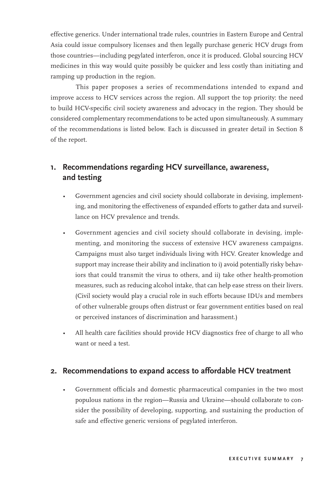effective generics. Under international trade rules, countries in Eastern Europe and Central Asia could issue compulsory licenses and then legally purchase generic HCV drugs from those countries—including pegylated interferon, once it is produced. Global sourcing HCV medicines in this way would quite possibly be quicker and less costly than initiating and ramping up production in the region.

This paper proposes a series of recommendations intended to expand and improve access to HCV services across the region. All support the top priority: the need to build HCV-specific civil society awareness and advocacy in the region. They should be considered complementary recommendations to be acted upon simultaneously. A summary of the recommendations is listed below. Each is discussed in greater detail in Section 8 of the report.

### **1. Recommendations regarding HCV surveillance, awareness, and testing**

- Government agencies and civil society should collaborate in devising, implementing, and monitoring the effectiveness of expanded efforts to gather data and surveillance on HCV prevalence and trends.
- Government agencies and civil society should collaborate in devising, implementing, and monitoring the success of extensive HCV awareness campaigns. Campaigns must also target individuals living with HCV. Greater knowledge and support may increase their ability and inclination to i) avoid potentially risky behaviors that could transmit the virus to others, and ii) take other health-promotion measures, such as reducing alcohol intake, that can help ease stress on their livers. (Civil society would play a crucial role in such efforts because IDUs and members of other vulnerable groups often distrust or fear government entities based on real or perceived instances of discrimination and harassment.)
- All health care facilities should provide HCV diagnostics free of charge to all who want or need a test.

#### **2. Recommendations to expand access to affordable HCV treatment**

• Government officials and domestic pharmaceutical companies in the two most populous nations in the region—Russia and Ukraine—should collaborate to consider the possibility of developing, supporting, and sustaining the production of safe and effective generic versions of pegylated interferon.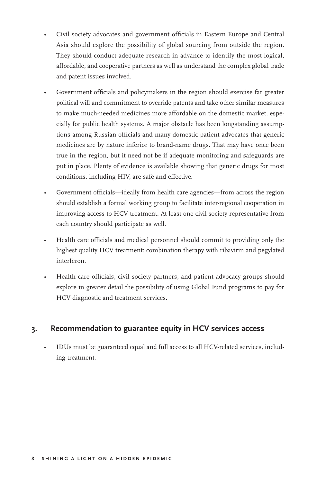- Civil society advocates and government officials in Eastern Europe and Central Asia should explore the possibility of global sourcing from outside the region. They should conduct adequate research in advance to identify the most logical, affordable, and cooperative partners as well as understand the complex global trade and patent issues involved.
- Government officials and policymakers in the region should exercise far greater political will and commitment to override patents and take other similar measures to make much-needed medicines more affordable on the domestic market, especially for public health systems. A major obstacle has been longstanding assumptions among Russian officials and many domestic patient advocates that generic medicines are by nature inferior to brand-name drugs. That may have once been true in the region, but it need not be if adequate monitoring and safeguards are put in place. Plenty of evidence is available showing that generic drugs for most conditions, including HIV, are safe and effective.
- Government officials—ideally from health care agencies—from across the region should establish a formal working group to facilitate inter-regional cooperation in improving access to HCV treatment. At least one civil society representative from each country should participate as well.
- Health care officials and medical personnel should commit to providing only the highest quality HCV treatment: combination therapy with ribavirin and pegylated interferon.
- Health care officials, civil society partners, and patient advocacy groups should explore in greater detail the possibility of using Global Fund programs to pay for HCV diagnostic and treatment services.

### **3. Recommendation to guarantee equity in HCV services access**

• IDUs must be guaranteed equal and full access to all HCV-related services, including treatment.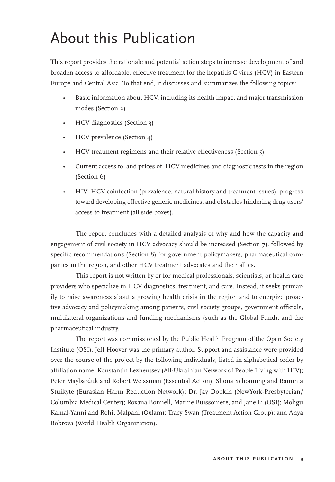# About this Publication

This report provides the rationale and potential action steps to increase development of and broaden access to affordable, effective treatment for the hepatitis C virus (HCV) in Eastern Europe and Central Asia. To that end, it discusses and summarizes the following topics:

- Basic information about HCV, including its health impact and major transmission modes (Section 2)
- HCV diagnostics (Section 3)
- HCV prevalence (Section 4)
- HCV treatment regimens and their relative effectiveness (Section 5)
- Current access to, and prices of, HCV medicines and diagnostic tests in the region (Section 6)
- HIV–HCV coinfection (prevalence, natural history and treatment issues), progress toward developing effective generic medicines, and obstacles hindering drug users' access to treatment (all side boxes).

The report concludes with a detailed analysis of why and how the capacity and engagement of civil society in HCV advocacy should be increased (Section 7), followed by specific recommendations (Section 8) for government policymakers, pharmaceutical companies in the region, and other HCV treatment advocates and their allies.

This report is not written by or for medical professionals, scientists, or health care providers who specialize in HCV diagnostics, treatment, and care. Instead, it seeks primarily to raise awareness about a growing health crisis in the region and to energize proactive advocacy and policymaking among patients, civil society groups, government officials, multilateral organizations and funding mechanisms (such as the Global Fund), and the pharmaceutical industry.

The report was commissioned by the Public Health Program of the Open Society Institute (OSI). Jeff Hoover was the primary author. Support and assistance were provided over the course of the project by the following individuals, listed in alphabetical order by affiliation name: Konstantin Lezhentsev (All-Ukrainian Network of People Living with HIV); Peter Maybarduk and Robert Weissman (Essential Action); Shona Schonning and Raminta Stuikyte (Eurasian Harm Reduction Network); Dr. Jay Dobkin (NewYork-Presbyterian/ Columbia Medical Center); Roxana Bonnell, Marine Buissoniere, and Jane Li (OSI); Mohgu Kamal-Yanni and Rohit Malpani (Oxfam); Tracy Swan (Treatment Action Group); and Anya Bobrova (World Health Organization).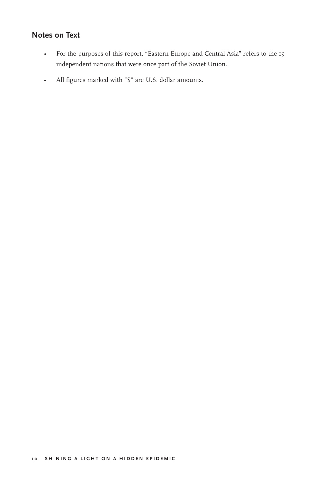## **Notes on Text**

- For the purposes of this report, "Eastern Europe and Central Asia" refers to the 15 independent nations that were once part of the Soviet Union.
- All figures marked with "\$" are U.S. dollar amounts.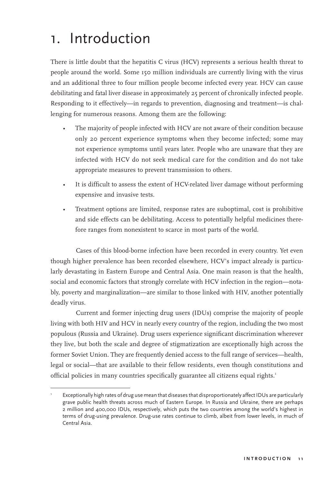# 1. Introduction

There is little doubt that the hepatitis C virus (HCV) represents a serious health threat to people around the world. Some 150 million individuals are currently living with the virus and an additional three to four million people become infected every year. HCV can cause debilitating and fatal liver disease in approximately 25 percent of chronically infected people. Responding to it effectively—in regards to prevention, diagnosing and treatment—is challenging for numerous reasons. Among them are the following:

- The majority of people infected with HCV are not aware of their condition because only 20 percent experience symptoms when they become infected; some may not experience symptoms until years later. People who are unaware that they are infected with HCV do not seek medical care for the condition and do not take appropriate measures to prevent transmission to others.
- It is difficult to assess the extent of HCV-related liver damage without performing expensive and invasive tests.
- Treatment options are limited, response rates are suboptimal, cost is prohibitive and side effects can be debilitating. Access to potentially helpful medicines therefore ranges from nonexistent to scarce in most parts of the world.

Cases of this blood-borne infection have been recorded in every country. Yet even though higher prevalence has been recorded elsewhere, HCV's impact already is particularly devastating in Eastern Europe and Central Asia. One main reason is that the health, social and economic factors that strongly correlate with HCV infection in the region—notably, poverty and marginalization—are similar to those linked with HIV, another potentially deadly virus.

Current and former injecting drug users (IDUs) comprise the majority of people living with both HIV and HCV in nearly every country of the region, including the two most populous (Russia and Ukraine). Drug users experience significant discrimination wherever they live, but both the scale and degree of stigmatization are exceptionally high across the former Soviet Union. They are frequently denied access to the full range of services—health, legal or social—that are available to their fellow residents, even though constitutions and official policies in many countries specifically guarantee all citizens equal rights.<sup>1</sup>

<sup>1</sup> Exceptionally high rates of drug use mean that diseases that disproportionately affect IDUs are particularly grave public health threats across much of Eastern Europe. In Russia and Ukraine, there are perhaps 2 million and 400,000 IDUs, respectively, which puts the two countries among the world's highest in terms of drug-using prevalence. Drug-use rates continue to climb, albeit from lower levels, in much of Central Asia.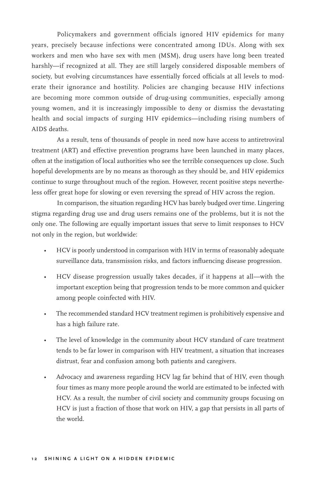Policymakers and government officials ignored HIV epidemics for many years, precisely because infections were concentrated among IDUs. Along with sex workers and men who have sex with men (MSM), drug users have long been treated harshly—if recognized at all. They are still largely considered disposable members of society, but evolving circumstances have essentially forced officials at all levels to moderate their ignorance and hostility. Policies are changing because HIV infections are becoming more common outside of drug-using communities, especially among young women, and it is increasingly impossible to deny or dismiss the devastating health and social impacts of surging HIV epidemics—including rising numbers of AIDS deaths.

As a result, tens of thousands of people in need now have access to antiretroviral treatment (ART) and effective prevention programs have been launched in many places, often at the instigation of local authorities who see the terrible consequences up close. Such hopeful developments are by no means as thorough as they should be, and HIV epidemics continue to surge throughout much of the region. However, recent positive steps nevertheless offer great hope for slowing or even reversing the spread of HIV across the region.

In comparison, the situation regarding HCV has barely budged over time. Lingering stigma regarding drug use and drug users remains one of the problems, but it is not the only one. The following are equally important issues that serve to limit responses to HCV not only in the region, but worldwide:

- HCV is poorly understood in comparison with HIV in terms of reasonably adequate surveillance data, transmission risks, and factors influencing disease progression.
- HCV disease progression usually takes decades, if it happens at all—with the important exception being that progression tends to be more common and quicker among people coinfected with HIV.
- The recommended standard HCV treatment regimen is prohibitively expensive and has a high failure rate.
- The level of knowledge in the community about HCV standard of care treatment tends to be far lower in comparison with HIV treatment, a situation that increases distrust, fear and confusion among both patients and caregivers.
- Advocacy and awareness regarding HCV lag far behind that of HIV, even though four times as many more people around the world are estimated to be infected with HCV. As a result, the number of civil society and community groups focusing on HCV is just a fraction of those that work on HIV, a gap that persists in all parts of the world.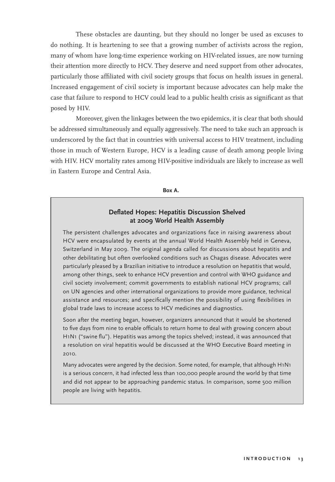These obstacles are daunting, but they should no longer be used as excuses to do nothing. It is heartening to see that a growing number of activists across the region, many of whom have long-time experience working on HIV-related issues, are now turning their attention more directly to HCV. They deserve and need support from other advocates, particularly those affiliated with civil society groups that focus on health issues in general. Increased engagement of civil society is important because advocates can help make the case that failure to respond to HCV could lead to a public health crisis as significant as that posed by HIV.

Moreover, given the linkages between the two epidemics, it is clear that both should be addressed simultaneously and equally aggressively. The need to take such an approach is underscored by the fact that in countries with universal access to HIV treatment, including those in much of Western Europe, HCV is a leading cause of death among people living with HIV. HCV mortality rates among HIV-positive individuals are likely to increase as well in Eastern Europe and Central Asia.

**Box A.** 

#### **Deflated Hopes: Hepatitis Discussion Shelved at 2009 World Health Assembly**

The persistent challenges advocates and organizations face in raising awareness about HCV were encapsulated by events at the annual World Health Assembly held in Geneva, Switzerland in May 2009. The original agenda called for discussions about hepatitis and other debilitating but often overlooked conditions such as Chagas disease. Advocates were particularly pleased by a Brazilian initiative to introduce a resolution on hepatitis that would, among other things, seek to enhance HCV prevention and control with WHO guidance and civil society involvement; commit governments to establish national HCV programs; call on UN agencies and other international organizations to provide more guidance, technical assistance and resources; and specifically mention the possibility of using flexibilities in global trade laws to increase access to HCV medicines and diagnostics.

Soon after the meeting began, however, organizers announced that it would be shortened to five days from nine to enable officials to return home to deal with growing concern about H1N1 ("swine flu"). Hepatitis was among the topics shelved; instead, it was announced that a resolution on viral hepatitis would be discussed at the WHO Executive Board meeting in 2010.

Many advocates were angered by the decision. Some noted, for example, that although H1N1 is a serious concern, it had infected less than 100,000 people around the world by that time and did not appear to be approaching pandemic status. In comparison, some 500 million people are living with hepatitis.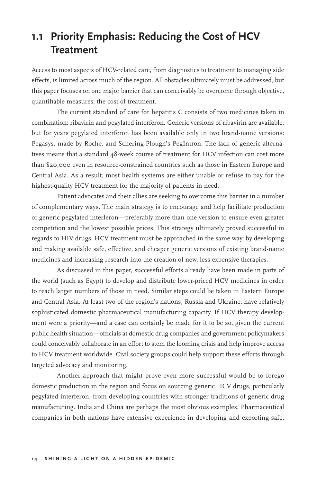## **1.1 Priority Emphasis: Reducing the Cost of HCV Treatment**

Access to most aspects of HCV-related care, from diagnostics to treatment to managing side effects, is limited across much of the region. All obstacles ultimately must be addressed, but this paper focuses on one major barrier that can conceivably be overcome through objective, quantifiable measures: the cost of treatment.

The current standard of care for hepatitis C consists of two medicines taken in combination: ribavirin and pegylated interferon. Generic versions of ribavirin are available, but for years pegylated interferon has been available only in two brand-name versions: Pegasys, made by Roche, and Schering-Plough's PegIntron. The lack of generic alternatives means that a standard 48-week course of treatment for HCV infection can cost more than \$20,000 even in resource-constrained countries such as those in Eastern Europe and Central Asia. As a result, most health systems are either unable or refuse to pay for the highest-quality HCV treatment for the majority of patients in need.

Patient advocates and their allies are seeking to overcome this barrier in a number of complementary ways. The main strategy is to encourage and help facilitate production of generic pegylated interferon—preferably more than one version to ensure even greater competition and the lowest possible prices. This strategy ultimately proved successful in regards to HIV drugs. HCV treatment must be approached in the same way: by developing and making available safe, effective, and cheaper generic versions of existing brand-name medicines and increasing research into the creation of new, less expensive therapies.

As discussed in this paper, successful efforts already have been made in parts of the world (such as Egypt) to develop and distribute lower-priced HCV medicines in order to reach larger numbers of those in need. Similar steps could be taken in Eastern Europe and Central Asia. At least two of the region's nations, Russia and Ukraine, have relatively sophisticated domestic pharmaceutical manufacturing capacity. If HCV therapy development were a priority—and a case can certainly be made for it to be so, given the current public health situation—officials at domestic drug companies and government policymakers could conceivably collaborate in an effort to stem the looming crisis and help improve access to HCV treatment worldwide. Civil society groups could help support these efforts through targeted advocacy and monitoring.

Another approach that might prove even more successful would be to forego domestic production in the region and focus on sourcing generic HCV drugs, particularly pegylated interferon, from developing countries with stronger traditions of generic drug manufacturing. India and China are perhaps the most obvious examples. Pharmaceutical companies in both nations have extensive experience in developing and exporting safe,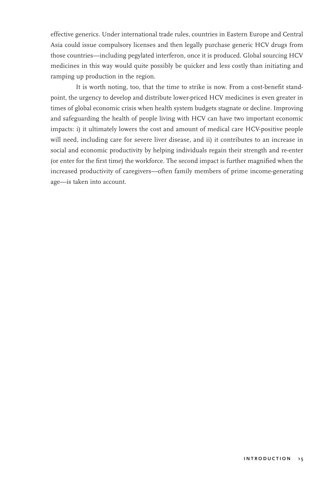effective generics. Under international trade rules, countries in Eastern Europe and Central Asia could issue compulsory licenses and then legally purchase generic HCV drugs from those countries—including pegylated interferon, once it is produced. Global sourcing HCV medicines in this way would quite possibly be quicker and less costly than initiating and ramping up production in the region.

It is worth noting, too, that the time to strike is now. From a cost-benefit standpoint, the urgency to develop and distribute lower-priced HCV medicines is even greater in times of global economic crisis when health system budgets stagnate or decline. Improving and safeguarding the health of people living with HCV can have two important economic impacts: i) it ultimately lowers the cost and amount of medical care HCV-positive people will need, including care for severe liver disease, and ii) it contributes to an increase in social and economic productivity by helping individuals regain their strength and re-enter (or enter for the first time) the workforce. The second impact is further magnified when the increased productivity of caregivers—often family members of prime income-generating age—is taken into account.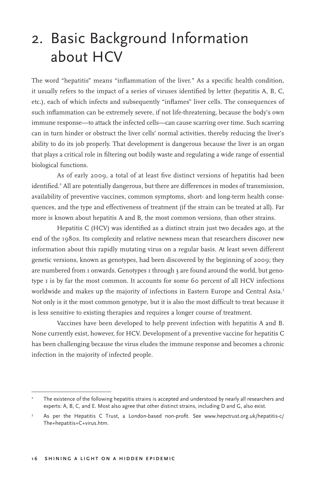# 2. Basic Background Information about HCV

The word "hepatitis" means "inflammation of the liver." As a specific health condition, it usually refers to the impact of a series of viruses identified by letter (hepatitis A, B, C, etc.), each of which infects and subsequently "inflames" liver cells. The consequences of such inflammation can be extremely severe, if not life-threatening, because the body's own immune response—to attack the infected cells—can cause scarring over time. Such scarring can in turn hinder or obstruct the liver cells' normal activities, thereby reducing the liver's ability to do its job properly. That development is dangerous because the liver is an organ that plays a critical role in filtering out bodily waste and regulating a wide range of essential biological functions.

As of early 2009, a total of at least five distinct versions of hepatitis had been identified.<sup>2</sup> All are potentially dangerous, but there are differences in modes of transmission, availability of preventive vaccines, common symptoms, short- and long-term health consequences, and the type and effectiveness of treatment (if the strain can be treated at all). Far more is known about hepatitis A and B, the most common versions, than other strains.

Hepatitis C (HCV) was identified as a distinct strain just two decades ago, at the end of the 1980s. Its complexity and relative newness mean that researchers discover new information about this rapidly mutating virus on a regular basis. At least seven different genetic versions, known as genotypes, had been discovered by the beginning of 2009; they are numbered from 1 onwards. Genotypes 1 through 3 are found around the world, but genotype 1 is by far the most common. It accounts for some 60 percent of all HCV infections worldwide and makes up the majority of infections in Eastern Europe and Central Asia.<sup>3</sup> Not only is it the most common genotype, but it is also the most difficult to treat because it is less sensitive to existing therapies and requires a longer course of treatment.

Vaccines have been developed to help prevent infection with hepatitis A and B. None currently exist, however, for HCV. Development of a preventive vaccine for hepatitis C has been challenging because the virus eludes the immune response and becomes a chronic infection in the majority of infected people.

<sup>2</sup> The existence of the following hepatitis strains is accepted and understood by nearly all researchers and experts: A, B, C, and E. Most also agree that other distinct strains, including D and G, also exist.

<sup>3</sup> As per the Hepatitis C Trust, a London-based non-profit. See www.hepctrust.org.uk/hepatitis-c/ The+hepatitis+C+virus.htm.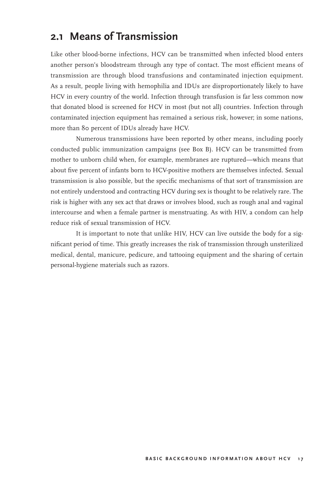## **2.1 Means of Transmission**

Like other blood-borne infections, HCV can be transmitted when infected blood enters another person's bloodstream through any type of contact. The most efficient means of transmission are through blood transfusions and contaminated injection equipment. As a result, people living with hemophilia and IDUs are disproportionately likely to have HCV in every country of the world. Infection through transfusion is far less common now that donated blood is screened for HCV in most (but not all) countries. Infection through contaminated injection equipment has remained a serious risk, however; in some nations, more than 80 percent of IDUs already have HCV.

Numerous transmissions have been reported by other means, including poorly conducted public immunization campaigns (see Box B). HCV can be transmitted from mother to unborn child when, for example, membranes are ruptured—which means that about five percent of infants born to HCV-positive mothers are themselves infected. Sexual transmission is also possible, but the specific mechanisms of that sort of transmission are not entirely understood and contracting HCV during sex is thought to be relatively rare. The risk is higher with any sex act that draws or involves blood, such as rough anal and vaginal intercourse and when a female partner is menstruating. As with HIV, a condom can help reduce risk of sexual transmission of HCV.

It is important to note that unlike HIV, HCV can live outside the body for a significant period of time. This greatly increases the risk of transmission through unsterilized medical, dental, manicure, pedicure, and tattooing equipment and the sharing of certain personal-hygiene materials such as razors.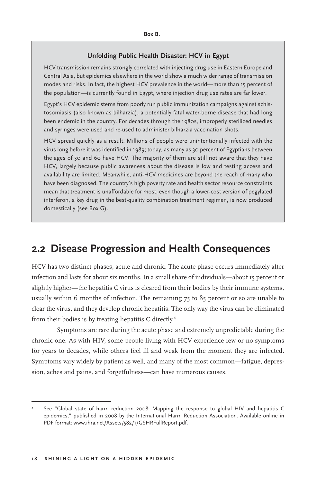#### **Unfolding Public Health Disaster: HCV in Egypt**

HCV transmission remains strongly correlated with injecting drug use in Eastern Europe and Central Asia, but epidemics elsewhere in the world show a much wider range of transmission modes and risks. In fact, the highest HCV prevalence in the world—more than 15 percent of the population—is currently found in Egypt, where injection drug use rates are far lower.

Egypt's HCV epidemic stems from poorly run public immunization campaigns against schistosomiasis (also known as bilharzia), a potentially fatal water-borne disease that had long been endemic in the country. For decades through the 1980s, improperly sterilized needles and syringes were used and re-used to administer bilharzia vaccination shots.

HCV spread quickly as a result. Millions of people were unintentionally infected with the virus long before it was identified in 1989; today, as many as 30 percent of Egyptians between the ages of 30 and 60 have HCV. The majority of them are still not aware that they have HCV, largely because public awareness about the disease is low and testing access and availability are limited. Meanwhile, anti-HCV medicines are beyond the reach of many who have been diagnosed. The country's high poverty rate and health sector resource constraints mean that treatment is unaffordable for most, even though a lower-cost version of pegylated interferon, a key drug in the best-quality combination treatment regimen, is now produced domestically (see Box G).

## **2.2 Disease Progression and Health Consequences**

HCV has two distinct phases, acute and chronic. The acute phase occurs immediately after infection and lasts for about six months. In a small share of individuals—about 15 percent or slightly higher—the hepatitis C virus is cleared from their bodies by their immune systems, usually within 6 months of infection. The remaining 75 to 85 percent or so are unable to clear the virus, and they develop chronic hepatitis. The only way the virus can be eliminated from their bodies is by treating hepatitis C directly.<sup>4</sup>

Symptoms are rare during the acute phase and extremely unpredictable during the chronic one. As with HIV, some people living with HCV experience few or no symptoms for years to decades, while others feel ill and weak from the moment they are infected. Symptoms vary widely by patient as well, and many of the most common—fatigue, depression, aches and pains, and forgetfulness—can have numerous causes.

<sup>4</sup> See "Global state of harm reduction 2008: Mapping the response to global HIV and hepatitis C epidemics," published in 2008 by the International Harm Reduction Association. Available online in PDF format: www.ihra.net/Assets/582/1/GSHRFullReport.pdf.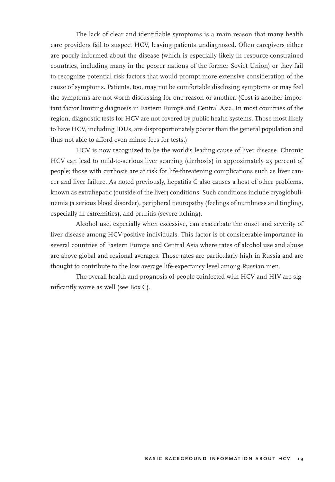The lack of clear and identifiable symptoms is a main reason that many health care providers fail to suspect HCV, leaving patients undiagnosed. Often caregivers either are poorly informed about the disease (which is especially likely in resource-constrained countries, including many in the poorer nations of the former Soviet Union) or they fail to recognize potential risk factors that would prompt more extensive consideration of the cause of symptoms. Patients, too, may not be comfortable disclosing symptoms or may feel the symptoms are not worth discussing for one reason or another. (Cost is another important factor limiting diagnosis in Eastern Europe and Central Asia. In most countries of the region, diagnostic tests for HCV are not covered by public health systems. Those most likely to have HCV, including IDUs, are disproportionately poorer than the general population and thus not able to afford even minor fees for tests.)

HCV is now recognized to be the world's leading cause of liver disease. Chronic HCV can lead to mild-to-serious liver scarring (cirrhosis) in approximately 25 percent of people; those with cirrhosis are at risk for life-threatening complications such as liver cancer and liver failure. As noted previously, hepatitis C also causes a host of other problems, known as extrahepatic (outside of the liver) conditions. Such conditions include cryoglobulinemia (a serious blood disorder), peripheral neuropathy (feelings of numbness and tingling, especially in extremities), and pruritis (severe itching).

Alcohol use, especially when excessive, can exacerbate the onset and severity of liver disease among HCV-positive individuals. This factor is of considerable importance in several countries of Eastern Europe and Central Asia where rates of alcohol use and abuse are above global and regional averages. Those rates are particularly high in Russia and are thought to contribute to the low average life-expectancy level among Russian men.

The overall health and prognosis of people coinfected with HCV and HIV are significantly worse as well (see Box C).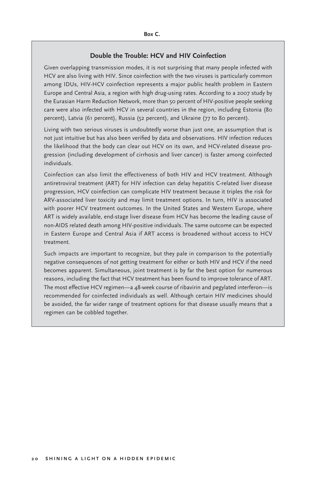#### **Double the Trouble: HCV and HIV Coinfection**

Given overlapping transmission modes, it is not surprising that many people infected with HCV are also living with HIV. Since coinfection with the two viruses is particularly common among IDUs, HIV-HCV coinfection represents a major public health problem in Eastern Europe and Central Asia, a region with high drug-using rates. According to a 2007 study by the Eurasian Harm Reduction Network, more than 50 percent of HIV-positive people seeking care were also infected with HCV in several countries in the region, including Estonia (80 percent), Latvia (61 percent), Russia (52 percent), and Ukraine (77 to 80 percent).

Living with two serious viruses is undoubtedly worse than just one, an assumption that is not just intuitive but has also been verified by data and observations. HIV infection reduces the likelihood that the body can clear out HCV on its own, and HCV-related disease progression (including development of cirrhosis and liver cancer) is faster among coinfected individuals.

Coinfection can also limit the effectiveness of both HIV and HCV treatment. Although antiretroviral treatment (ART) for HIV infection can delay hepatitis C-related liver disease progression, HCV coinfection can complicate HIV treatment because it triples the risk for ARV-associated liver toxicity and may limit treatment options. In turn, HIV is associated with poorer HCV treatment outcomes. In the United States and Western Europe, where ART is widely available, end-stage liver disease from HCV has become the leading cause of non-AIDS related death among HIV-positive individuals. The same outcome can be expected in Eastern Europe and Central Asia if ART access is broadened without access to HCV treatment.

Such impacts are important to recognize, but they pale in comparison to the potentially negative consequences of not getting treatment for either or both HIV and HCV if the need becomes apparent. Simultaneous, joint treatment is by far the best option for numerous reasons, including the fact that HCV treatment has been found to improve tolerance of ART. The most effective HCV regimen—a 48-week course of ribavirin and pegylated interferon—is recommended for coinfected individuals as well. Although certain HIV medicines should be avoided, the far wider range of treatment options for that disease usually means that a regimen can be cobbled together.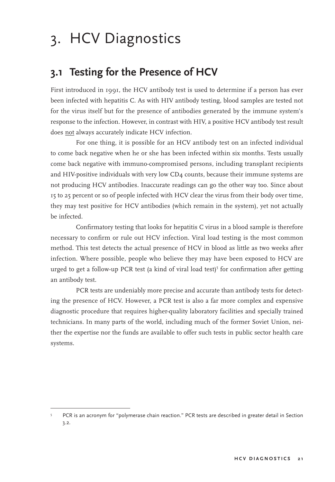# 3. HCV Diagnostics

## **3.1 Testing for the Presence of HCV**

First introduced in 1991, the HCV antibody test is used to determine if a person has ever been infected with hepatitis C. As with HIV antibody testing, blood samples are tested not for the virus itself but for the presence of antibodies generated by the immune system's response to the infection. However, in contrast with HIV, a positive HCV antibody test result does not always accurately indicate HCV infection.

For one thing, it is possible for an HCV antibody test on an infected individual to come back negative when he or she has been infected within six months. Tests usually come back negative with immuno-compromised persons, including transplant recipients and HIV-positive individuals with very low CD4 counts, because their immune systems are not producing HCV antibodies. Inaccurate readings can go the other way too. Since about 15 to 25 percent or so of people infected with HCV clear the virus from their body over time, they may test positive for HCV antibodies (which remain in the system), yet not actually be infected.

Confirmatory testing that looks for hepatitis C virus in a blood sample is therefore necessary to confirm or rule out HCV infection. Viral load testing is the most common method. This test detects the actual presence of HCV in blood as little as two weeks after infection. Where possible, people who believe they may have been exposed to HCV are urged to get a follow-up PCR test (a kind of viral load test)<sup>5</sup> for confirmation after getting an antibody test.

PCR tests are undeniably more precise and accurate than antibody tests for detecting the presence of HCV. However, a PCR test is also a far more complex and expensive diagnostic procedure that requires higher-quality laboratory facilities and specially trained technicians. In many parts of the world, including much of the former Soviet Union, neither the expertise nor the funds are available to offer such tests in public sector health care systems.

<sup>5</sup> PCR is an acronym for "polymerase chain reaction." PCR tests are described in greater detail in Section 3.2.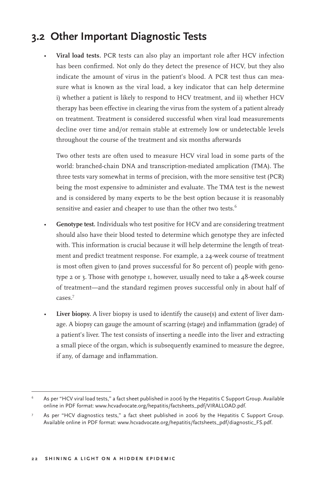## **3.2 Other Important Diagnostic Tests**

• **Viral load tests.** PCR tests can also play an important role after HCV infection has been confirmed. Not only do they detect the presence of HCV, but they also indicate the amount of virus in the patient's blood. A PCR test thus can measure what is known as the viral load, a key indicator that can help determine i) whether a patient is likely to respond to HCV treatment, and ii) whether HCV therapy has been effective in clearing the virus from the system of a patient already on treatment. Treatment is considered successful when viral load measurements decline over time and/or remain stable at extremely low or undetectable levels throughout the course of the treatment and six months afterwards

 Two other tests are often used to measure HCV viral load in some parts of the world: branched-chain DNA and transcription-mediated amplication (TMA). The three tests vary somewhat in terms of precision, with the more sensitive test (PCR) being the most expensive to administer and evaluate. The TMA test is the newest and is considered by many experts to be the best option because it is reasonably sensitive and easier and cheaper to use than the other two tests.<sup>6</sup>

- **Genotype test.** Individuals who test positive for HCV and are considering treatment should also have their blood tested to determine which genotype they are infected with. This information is crucial because it will help determine the length of treatment and predict treatment response. For example, a 24-week course of treatment is most often given to (and proves successful for 80 percent of) people with genotype 2 or 3. Those with genotype 1, however, usually need to take a 48-week course of treatment—and the standard regimen proves successful only in about half of cases.<sup>7</sup>
- Liver biopsy. A liver biopsy is used to identify the cause(s) and extent of liver damage. A biopsy can gauge the amount of scarring (stage) and inflammation (grade) of a patient's liver. The test consists of inserting a needle into the liver and extracting a small piece of the organ, which is subsequently examined to measure the degree, if any, of damage and inflammation.

<sup>6</sup> As per "HCV viral load tests," a fact sheet published in 2006 by the Hepatitis C Support Group. Available online in PDF format: www.hcvadvocate.org/hepatitis/factsheets\_pdf/VIRALLOAD.pdf.

<sup>7</sup> As per "HCV diagnostics tests," a fact sheet published in 2006 by the Hepatitis C Support Group. Available online in PDF format: www.hcvadvocate.org/hepatitis/factsheets\_pdf/diagnostic\_FS.pdf.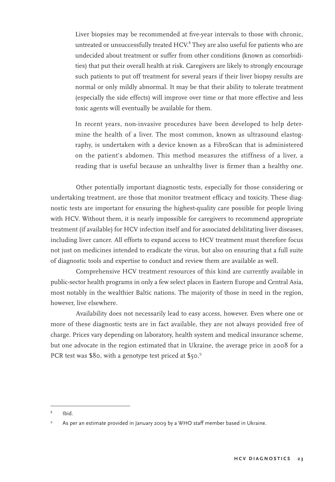Liver biopsies may be recommended at five-year intervals to those with chronic, untreated or unsuccessfully treated  $HCV<sup>8</sup>$  They are also useful for patients who are undecided about treatment or suffer from other conditions (known as comorbidities) that put their overall health at risk. Caregivers are likely to strongly encourage such patients to put off treatment for several years if their liver biopsy results are normal or only mildly abnormal. It may be that their ability to tolerate treatment (especially the side effects) will improve over time or that more effective and less toxic agents will eventually be available for them.

 In recent years, non-invasive procedures have been developed to help determine the health of a liver. The most common, known as ultrasound elastography, is undertaken with a device known as a FibroScan that is administered on the patient's abdomen. This method measures the stiffness of a liver, a reading that is useful because an unhealthy liver is firmer than a healthy one.

Other potentially important diagnostic tests, especially for those considering or undertaking treatment, are those that monitor treatment efficacy and toxicity. These diagnostic tests are important for ensuring the highest-quality care possible for people living with HCV. Without them, it is nearly impossible for caregivers to recommend appropriate treatment (if available) for HCV infection itself and for associated debilitating liver diseases, including liver cancer. All efforts to expand access to HCV treatment must therefore focus not just on medicines intended to eradicate the virus, but also on ensuring that a full suite of diagnostic tools and expertise to conduct and review them are available as well.

Comprehensive HCV treatment resources of this kind are currently available in public-sector health programs in only a few select places in Eastern Europe and Central Asia, most notably in the wealthier Baltic nations. The majority of those in need in the region, however, live elsewhere.

Availability does not necessarily lead to easy access, however. Even where one or more of these diagnostic tests are in fact available, they are not always provided free of charge. Prices vary depending on laboratory, health system and medical insurance scheme, but one advocate in the region estimated that in Ukraine, the average price in 2008 for a PCR test was \$80, with a genotype test priced at \$50.9

<sup>8</sup> Ibid.

<sup>9</sup> As per an estimate provided in January 2009 by a WHO staff member based in Ukraine.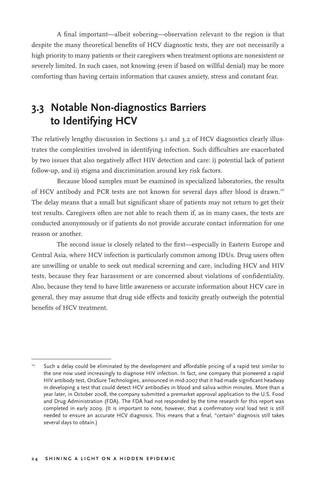A final important—albeit sobering—observation relevant to the region is that despite the many theoretical benefits of HCV diagnostic tests, they are not necessarily a high priority to many patients or their caregivers when treatment options are nonexistent or severely limited. In such cases, not knowing (even if based on willful denial) may be more comforting than having certain information that causes anxiety, stress and constant fear.

## **3.3 Notable Non-diagnostics Barriers to Identifying HCV**

The relatively lengthy discussion in Sections 3.1 and 3.2 of HCV diagnostics clearly illustrates the complexities involved in identifying infection. Such difficulties are exacerbated by two issues that also negatively affect HIV detection and care: i) potential lack of patient follow-up, and ii) stigma and discrimination around key risk factors.

Because blood samples must be examined in specialized laboratories, the results of HCV antibody and PCR tests are not known for several days after blood is drawn.<sup>10</sup> The delay means that a small but significant share of patients may not return to get their test results. Caregivers often are not able to reach them if, as in many cases, the tests are conducted anonymously or if patients do not provide accurate contact information for one reason or another.

The second issue is closely related to the first—especially in Eastern Europe and Central Asia, where HCV infection is particularly common among IDUs. Drug users often are unwilling or unable to seek out medical screening and care, including HCV and HIV tests, because they fear harassment or are concerned about violations of confidentiality. Also, because they tend to have little awareness or accurate information about HCV care in general, they may assume that drug side effects and toxicity greatly outweigh the potential benefits of HCV treatment.

<sup>&</sup>lt;sup>10</sup> Such a delay could be eliminated by the development and affordable pricing of a rapid test similar to the one now used increasingly to diagnose HIV infection. In fact, one company that pioneered a rapid HIV antibody test, OraSure Technologies, announced in mid-2007 that it had made significant headway in developing a test that could detect HCV antibodies in blood and saliva within minutes. More than a year later, in October 2008, the company submitted a premarket approval application to the U.S. Food and Drug Administration (FDA). The FDA had not responded by the time research for this report was completed in early 2009. (It is important to note, however, that a confirmatory viral load test is still needed to ensure an accurate HCV diagnosis. This means that a final, "certain" diagnosis still takes several days to obtain.)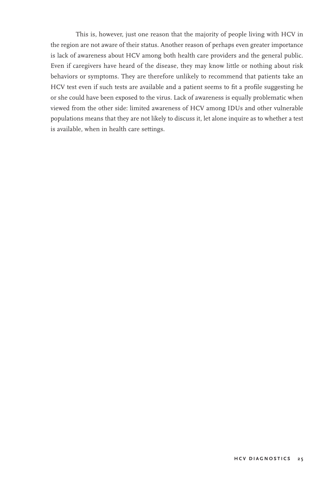This is, however, just one reason that the majority of people living with HCV in the region are not aware of their status. Another reason of perhaps even greater importance is lack of awareness about HCV among both health care providers and the general public. Even if caregivers have heard of the disease, they may know little or nothing about risk behaviors or symptoms. They are therefore unlikely to recommend that patients take an HCV test even if such tests are available and a patient seems to fit a profile suggesting he or she could have been exposed to the virus. Lack of awareness is equally problematic when viewed from the other side: limited awareness of HCV among IDUs and other vulnerable populations means that they are not likely to discuss it, let alone inquire as to whether a test is available, when in health care settings.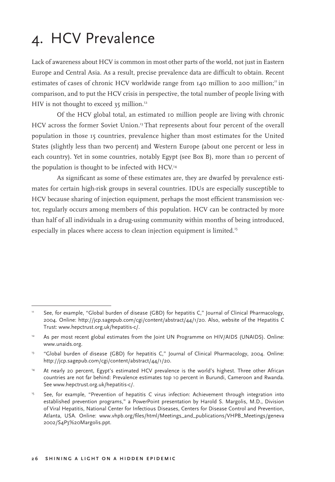# 4. HCV Prevalence

Lack of awareness about HCV is common in most other parts of the world, not just in Eastern Europe and Central Asia. As a result, precise prevalence data are difficult to obtain. Recent estimates of cases of chronic HCV worldwide range from  $140$  million to 200 million;<sup>11</sup> in comparison, and to put the HCV crisis in perspective, the total number of people living with HIV is not thought to exceed 35 million.<sup>12</sup>

Of the HCV global total, an estimated 10 million people are living with chronic HCV across the former Soviet Union.<sup>13</sup> That represents about four percent of the overall population in those 15 countries, prevalence higher than most estimates for the United States (slightly less than two percent) and Western Europe (about one percent or less in each country). Yet in some countries, notably Egypt (see Box B), more than 10 percent of the population is thought to be infected with HCV.<sup>14</sup>

As significant as some of these estimates are, they are dwarfed by prevalence estimates for certain high-risk groups in several countries. IDUs are especially susceptible to HCV because sharing of injection equipment, perhaps the most efficient transmission vector, regularly occurs among members of this population. HCV can be contracted by more than half of all individuals in a drug-using community within months of being introduced, especially in places where access to clean injection equipment is limited.<sup>15</sup>

<sup>11</sup> See, for example, "Global burden of disease (GBD) for hepatitis C," Journal of Clinical Pharmacology, 2004. Online: http://jcp.sagepub.com/cgi/content/abstract/44/1/20. Also, website of the Hepatitis C Trust: www.hepctrust.org.uk/hepatitis-c/.

As per most recent global estimates from the Joint UN Programme on HIV/AIDS (UNAIDS). Online: www.unaids.org.

<sup>&</sup>lt;sup>13</sup> "Global burden of disease (GBD) for hepatitis C," Journal of Clinical Pharmacology, 2004. Online: http://jcp.sagepub.com/cgi/content/abstract/44/1/20.

<sup>14</sup> At nearly 20 percent, Egypt's estimated HCV prevalence is the world's highest. Three other African countries are not far behind: Prevalence estimates top 10 percent in Burundi, Cameroon and Rwanda. See www.hepctrust.org.uk/hepatitis-c/.

<sup>&</sup>lt;sup>15</sup> See, for example, "Prevention of hepatitis C virus infection: Achievement through integration into established prevention programs," a PowerPoint presentation by Harold S. Margolis, M.D., Division of Viral Hepatitis, National Center for Infectious Diseases, Centers for Disease Control and Prevention, Atlanta, USA. Online: www.vhpb.org/files/html/Meetings\_and\_publications/VHPB\_Meetings/geneva 2002/S4P3%20Margolis.ppt.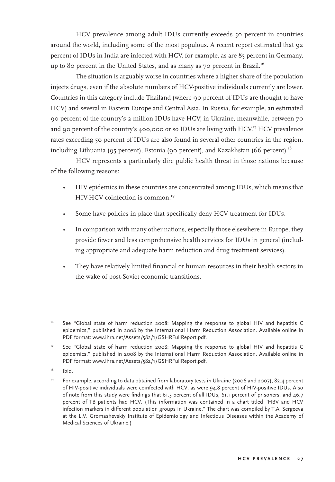HCV prevalence among adult IDUs currently exceeds 50 percent in countries around the world, including some of the most populous. A recent report estimated that 92 percent of IDUs in India are infected with HCV, for example, as are 85 percent in Germany, up to 80 percent in the United States, and as many as 70 percent in Brazil.<sup>16</sup>

The situation is arguably worse in countries where a higher share of the population injects drugs, even if the absolute numbers of HCV-positive individuals currently are lower. Countries in this category include Thailand (where 90 percent of IDUs are thought to have HCV) and several in Eastern Europe and Central Asia. In Russia, for example, an estimated 90 percent of the country's 2 million IDUs have HCV; in Ukraine, meanwhile, between 70 and 90 percent of the country's 400,000 or so IDUs are living with HCV.<sup>17</sup> HCV prevalence rates exceeding 50 percent of IDUs are also found in several other countries in the region, including Lithuania (95 percent), Estonia (90 percent), and Kazakhstan (66 percent).<sup>18</sup>

HCV represents a particularly dire public health threat in those nations because of the following reasons:

- HIV epidemics in these countries are concentrated among IDUs, which means that HIV-HCV coinfection is common.<sup>19</sup>
- Some have policies in place that specifically deny HCV treatment for IDUs.
- In comparison with many other nations, especially those elsewhere in Europe, they provide fewer and less comprehensive health services for IDUs in general (including appropriate and adequate harm reduction and drug treatment services).
- They have relatively limited financial or human resources in their health sectors in the wake of post-Soviet economic transitions.

<sup>16</sup> See "Global state of harm reduction 2008: Mapping the response to global HIV and hepatitis C epidemics," published in 2008 by the International Harm Reduction Association. Available online in PDF format: www.ihra.net/Assets/582/1/GSHRFullReport.pdf.

<sup>17</sup> See "Global state of harm reduction 2008: Mapping the response to global HIV and hepatitis C epidemics," published in 2008 by the International Harm Reduction Association. Available online in PDF format: www.ihra.net/Assets/582/1/GSHRFullReport.pdf.

 $18$  Ibid.

<sup>19</sup> For example, according to data obtained from laboratory tests in Ukraine (2006 and 2007), 82.4 percent of HIV-positive individuals were coinfected with HCV, as were 94.8 percent of HIV-positive IDUs. Also of note from this study were findings that 61.5 percent of all IDUs, 61.1 percent of prisoners, and 46.7 percent of TB patients had HCV. (This information was contained in a chart titled "HBV and HCV infection markers in different population groups in Ukraine." The chart was compiled by T.A. Sergeeva at the L.V. Gromashevskiy Institute of Epidemiology and Infectious Diseases within the Academy of Medical Sciences of Ukraine.)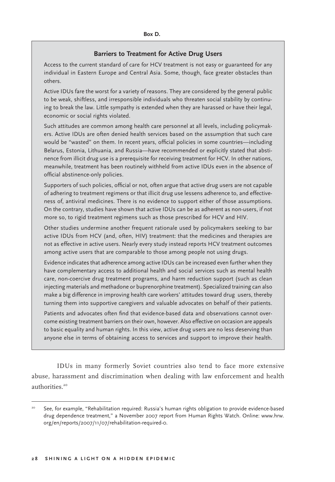#### **Barriers to Treatment for Active Drug Users**

Access to the current standard of care for HCV treatment is not easy or guaranteed for any individual in Eastern Europe and Central Asia. Some, though, face greater obstacles than others.

Active IDUs fare the worst for a variety of reasons. They are considered by the general public to be weak, shiftless, and irresponsible individuals who threaten social stability by continuing to break the law. Little sympathy is extended when they are harassed or have their legal, economic or social rights violated.

Such attitudes are common among health care personnel at all levels, including policymakers. Active IDUs are often denied health services based on the assumption that such care would be "wasted" on them. In recent years, official policies in some countries—including Belarus, Estonia, Lithuania, and Russia—have recommended or explicitly stated that abstinence from illicit drug use is a prerequisite for receiving treatment for HCV. In other nations, meanwhile, treatment has been routinely withheld from active IDUs even in the absence of official abstinence-only policies.

Supporters of such policies, official or not, often argue that active drug users are not capable of adhering to treatment regimens or that illicit drug use lessens adherence to, and effectiveness of, antiviral medicines. There is no evidence to support either of those assumptions. On the contrary, studies have shown that active IDUs can be as adherent as non-users, if not more so, to rigid treatment regimens such as those prescribed for HCV and HIV.

Other studies undermine another frequent rationale used by policymakers seeking to bar active IDUs from HCV (and, often, HIV) treatment: that the medicines and therapies are not as effective in active users. Nearly every study instead reports HCV treatment outcomes among active users that are comparable to those among people not using drugs.

Evidence indicates that adherence among active IDUs can be increased even further when they have complementary access to additional health and social services such as mental health care, non-coercive drug treatment programs, and harm reduction support (such as clean injecting materials and methadone or buprenorphine treatment). Specialized training can also make a big difference in improving health care workers' attitudes toward drug users, thereby turning them into supportive caregivers and valuable advocates on behalf of their patients.

Patients and advocates often find that evidence-based data and observations cannot overcome existing treatment barriers on their own, however. Also effective on occasion are appeals to basic equality and human rights. In this view, active drug users are no less deserving than anyone else in terms of obtaining access to services and support to improve their health.

IDUs in many formerly Soviet countries also tend to face more extensive abuse, harassment and discrimination when dealing with law enforcement and health authorities.<sup>20</sup>

<sup>20</sup> See, for example, "Rehabilitation required: Russia's human rights obligation to provide evidence-based drug dependence treatment," a November 2007 report from Human Rights Watch. Online: www.hrw. org/en/reports/2007/11/07/rehabilitation-required-0.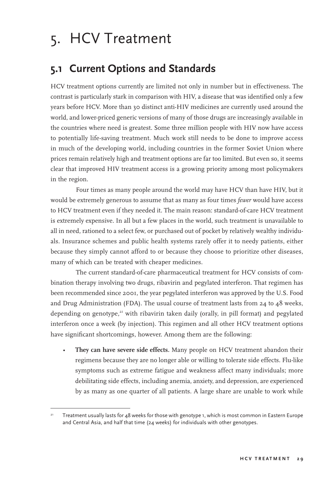# 5. HCV Treatment

## **5.1 Current Options and Standards**

HCV treatment options currently are limited not only in number but in effectiveness. The contrast is particularly stark in comparison with HIV, a disease that was identified only a few years before HCV. More than 30 distinct anti-HIV medicines are currently used around the world, and lower-priced generic versions of many of those drugs are increasingly available in the countries where need is greatest. Some three million people with HIV now have access to potentially life-saving treatment. Much work still needs to be done to improve access in much of the developing world, including countries in the former Soviet Union where prices remain relatively high and treatment options are far too limited. But even so, it seems clear that improved HIV treatment access is a growing priority among most policymakers in the region.

Four times as many people around the world may have HCV than have HIV, but it would be extremely generous to assume that as many as four times *fewer* would have access to HCV treatment even if they needed it. The main reason: standard-of-care HCV treatment is extremely expensive. In all but a few places in the world, such treatment is unavailable to all in need, rationed to a select few, or purchased out of pocket by relatively wealthy individuals. Insurance schemes and public health systems rarely offer it to needy patients, either because they simply cannot afford to or because they choose to prioritize other diseases, many of which can be treated with cheaper medicines.

The current standard-of-care pharmaceutical treatment for HCV consists of combination therapy involving two drugs, ribavirin and pegylated interferon. That regimen has been recommended since 2001, the year pegylated interferon was approved by the U.S. Food and Drug Administration (FDA). The usual course of treatment lasts from  $24$  to  $48$  weeks, depending on genotype, $2^t$  with ribavirin taken daily (orally, in pill format) and pegylated interferon once a week (by injection). This regimen and all other HCV treatment options have significant shortcomings, however. Among them are the following:

They can have severe side effects. Many people on HCV treatment abandon their regimens because they are no longer able or willing to tolerate side effects. Flu-like symptoms such as extreme fatigue and weakness affect many individuals; more debilitating side effects, including anemia, anxiety, and depression, are experienced by as many as one quarter of all patients. A large share are unable to work while

Treatment usually lasts for  $\Delta 8$  weeks for those with genotype 1, which is most common in Eastern Europe and Central Asia, and half that time (24 weeks) for individuals with other genotypes.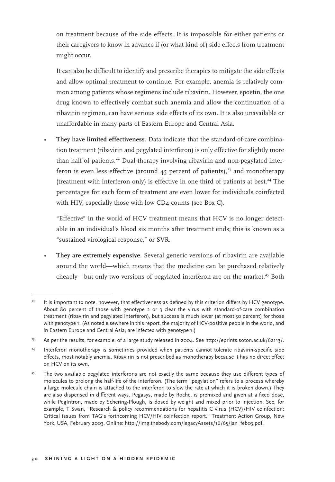on treatment because of the side effects. It is impossible for either patients or their caregivers to know in advance if (or what kind of) side effects from treatment might occur.

 It can also be difficult to identify and prescribe therapies to mitigate the side effects and allow optimal treatment to continue. For example, anemia is relatively common among patients whose regimens include ribavirin. However, epoetin, the one drug known to effectively combat such anemia and allow the continuation of a ribavirin regimen, can have serious side effects of its own. It is also unavailable or unaffordable in many parts of Eastern Europe and Central Asia.

• **They have limited effectiveness.** Data indicate that the standard-of-care combination treatment (ribavirin and pegylated interferon) is only effective for slightly more than half of patients.<sup>22</sup> Dual therapy involving ribavirin and non-pegylated interferon is even less effective (around  $45$  percent of patients),<sup>23</sup> and monotherapy (treatment with interferon only) is effective in one third of patients at best. $24$  The percentages for each form of treatment are even lower for individuals coinfected with HIV, especially those with low CD4 counts (see Box C).

 "Effective" in the world of HCV treatment means that HCV is no longer detectable in an individual's blood six months after treatment ends; this is known as a "sustained virological response," or SVR.

• **They are extremely expensive.** Several generic versions of ribavirin are available around the world—which means that the medicine can be purchased relatively cheaply—but only two versions of pegylated interferon are on the market.<sup>25</sup> Both

<sup>&</sup>lt;sup>22</sup> It is important to note, however, that effectiveness as defined by this criterion differs by HCV genotype. About 80 percent of those with genotype 2 or 3 clear the virus with standard-of-care combination treatment (ribavirin and pegylated interferon), but success is much lower (at most 50 percent) for those with genotype 1. (As noted elsewhere in this report, the majority of HCV-positive people in the world, and in Eastern Europe and Central Asia, are infected with genotype 1.)

<sup>&</sup>lt;sup>23</sup> As per the results, for example, of a large study released in 2004. See http://eprints.soton.ac.uk/62113/.

<sup>&</sup>lt;sup>24</sup> Interferon monotherapy is sometimes provided when patients cannot tolerate ribavirin-specific side effects, most notably anemia. Ribavirin is not prescribed as monotherapy because it has no direct effect on HCV on its own.

<sup>&</sup>lt;sup>25</sup> The two available pegylated interferons are not exactly the same because they use different types of molecules to prolong the half-life of the interferon. (The term "pegylation" refers to a process whereby a large molecule chain is attached to the interferon to slow the rate at which it is broken down.) They are also dispensed in different ways. Pegasys, made by Roche, is premixed and given at a fixed dose, while PegIntron, made by Schering-Plough, is dosed by weight and mixed prior to injection. See, for example, T Swan, "Research & policy recommendations for hepatitis C virus (HCV)/HIV coinfection: Critical issues from TAG's forthcoming HCV/HIV coinfection report." Treatment Action Group, New York, USA, February 2003. Online: http://img.thebody.com/legacyAssets/16/65/jan\_feb03.pdf.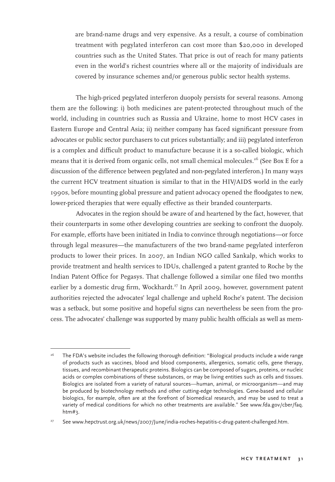are brand-name drugs and very expensive. As a result, a course of combination treatment with pegylated interferon can cost more than \$20,000 in developed countries such as the United States. That price is out of reach for many patients even in the world's richest countries where all or the majority of individuals are covered by insurance schemes and/or generous public sector health systems.

The high-priced pegylated interferon duopoly persists for several reasons. Among them are the following: i) both medicines are patent-protected throughout much of the world, including in countries such as Russia and Ukraine, home to most HCV cases in Eastern Europe and Central Asia; ii) neither company has faced significant pressure from advocates or public sector purchasers to cut prices substantially; and iii) pegylated interferon is a complex and difficult product to manufacture because it is a so-called biologic, which means that it is derived from organic cells, not small chemical molecules.<sup>26</sup> (See Box E for a discussion of the difference between pegylated and non-pegylated interferon.) In many ways the current HCV treatment situation is similar to that in the HIV/AIDS world in the early 1990s, before mounting global pressure and patient advocacy opened the floodgates to new, lower-priced therapies that were equally effective as their branded counterparts.

Advocates in the region should be aware of and heartened by the fact, however, that their counterparts in some other developing countries are seeking to confront the duopoly. For example, efforts have been initiated in India to convince through negotiations—or force through legal measures—the manufacturers of the two brand-name pegylated interferon products to lower their prices. In 2007, an Indian NGO called Sankalp, which works to provide treatment and health services to IDUs, challenged a patent granted to Roche by the Indian Patent Office for Pegasys. That challenge followed a similar one filed two months earlier by a domestic drug firm, Wockhardt.<sup>27</sup> In April 2009, however, government patent authorities rejected the advocates' legal challenge and upheld Roche's patent. The decision was a setback, but some positive and hopeful signs can nevertheless be seen from the process. The advocates' challenge was supported by many public health officials as well as mem-

<sup>&</sup>lt;sup>26</sup> The FDA's website includes the following thorough definition: "Biological products include a wide range of products such as vaccines, blood and blood components, allergenics, somatic cells, gene therapy, tissues, and recombinant therapeutic proteins. Biologics can be composed of sugars, proteins, or nucleic acids or complex combinations of these substances, or may be living entities such as cells and tissues. Biologics are isolated from a variety of natural sources—human, animal, or microorganism—and may be produced by biotechnology methods and other cutting-edge technologies. Gene-based and cellular biologics, for example, often are at the forefront of biomedical research, and may be used to treat a variety of medical conditions for which no other treatments are available." See www.fda.gov/cber/faq. htm#3.

<sup>&</sup>lt;sup>27</sup> See www.hepctrust.org.uk/news/2007/June/india-roches-hepatitis-c-drug-patent-challenged.htm.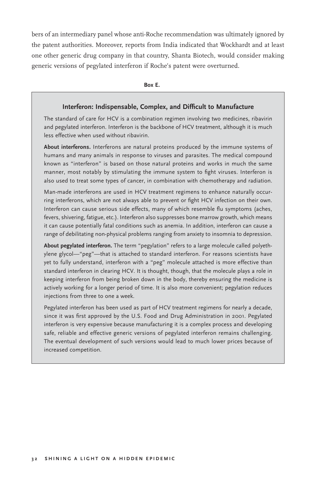bers of an intermediary panel whose anti-Roche recommendation was ultimately ignored by the patent authorities. Moreover, reports from India indicated that Wockhardt and at least one other generic drug company in that country, Shanta Biotech, would consider making generic versions of pegylated interferon if Roche's patent were overturned.

**Box E.** 

#### **Interferon: Indispensable, Complex, and Difficult to Manufacture**

The standard of care for HCV is a combination regimen involving two medicines, ribavirin and pegylated interferon. Interferon is the backbone of HCV treatment, although it is much less effective when used without ribavirin.

**About interferons.** Interferons are natural proteins produced by the immune systems of humans and many animals in response to viruses and parasites. The medical compound known as "interferon" is based on those natural proteins and works in much the same manner, most notably by stimulating the immune system to fight viruses. Interferon is also used to treat some types of cancer, in combination with chemotherapy and radiation.

Man-made interferons are used in HCV treatment regimens to enhance naturally occurring interferons, which are not always able to prevent or fight HCV infection on their own. Interferon can cause serious side effects, many of which resemble flu symptoms (aches, fevers, shivering, fatigue, etc.). Interferon also suppresses bone marrow growth, which means it can cause potentially fatal conditions such as anemia. In addition, interferon can cause a range of debilitating non-physical problems ranging from anxiety to insomnia to depression.

**About pegylated interferon.** The term "pegylation" refers to a large molecule called polyethylene glycol—"peg"—that is attached to standard interferon. For reasons scientists have yet to fully understand, interferon with a "peg" molecule attached is more effective than standard interferon in clearing HCV. It is thought, though, that the molecule plays a role in keeping interferon from being broken down in the body, thereby ensuring the medicine is actively working for a longer period of time. It is also more convenient; pegylation reduces injections from three to one a week.

Pegylated interferon has been used as part of HCV treatment regimens for nearly a decade, since it was first approved by the U.S. Food and Drug Administration in 2001. Pegylated interferon is very expensive because manufacturing it is a complex process and developing safe, reliable and effective generic versions of pegylated interferon remains challenging. The eventual development of such versions would lead to much lower prices because of increased competition.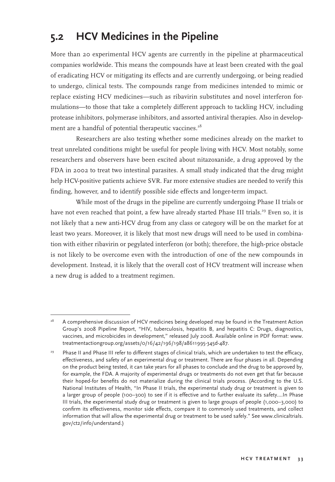# **5.2 HCV Medicines in the Pipeline**

More than 20 experimental HCV agents are currently in the pipeline at pharmaceutical companies worldwide. This means the compounds have at least been created with the goal of eradicating HCV or mitigating its effects and are currently undergoing, or being readied to undergo, clinical tests. The compounds range from medicines intended to mimic or replace existing HCV medicines—such as ribavirin substitutes and novel interferon formulations—to those that take a completely different approach to tackling HCV, including protease inhibitors, polymerase inhibitors, and assorted antiviral therapies. Also in development are a handful of potential therapeutic vaccines.<sup>28</sup>

Researchers are also testing whether some medicines already on the market to treat unrelated conditions might be useful for people living with HCV. Most notably, some researchers and observers have been excited about nitazoxanide, a drug approved by the FDA in 2002 to treat two intestinal parasites. A small study indicated that the drug might help HCV-positive patients achieve SVR. Far more extensive studies are needed to verify this finding, however, and to identify possible side effects and longer-term impact.

While most of the drugs in the pipeline are currently undergoing Phase II trials or have not even reached that point, a few have already started Phase III trials.<sup>29</sup> Even so, it is not likely that a new anti-HCV drug from any class or category will be on the market for at least two years. Moreover, it is likely that most new drugs will need to be used in combination with either ribavirin or pegylated interferon (or both); therefore, the high-price obstacle is not likely to be overcome even with the introduction of one of the new compounds in development. Instead, it is likely that the overall cost of HCV treatment will increase when a new drug is added to a treatment regimen.

<sup>&</sup>lt;sup>28</sup> A comprehensive discussion of HCV medicines being developed may be found in the Treatment Action Group's 2008 Pipeline Report, "HIV, tuberculosis, hepatitis B, and hepatitis C: Drugs, diagnostics, vaccines, and microbicides in development," released July 2008. Available online in PDF format: www. treatmentactiongroup.org/assets/0/16/42/196/198/a8611995-345d-487.

Phase II and Phase III refer to different stages of clinical trials, which are undertaken to test the efficacy, effectiveness, and safety of an experimental drug or treatment. There are four phases in all. Depending on the product being tested, it can take years for all phases to conclude and the drug to be approved by, for example, the FDA. A majority of experimental drugs or treatments do not even get that far because their hoped-for benefits do not materialize during the clinical trials process. (According to the U.S. National Institutes of Health, "In Phase II trials, the experimental study drug or treatment is given to a larger group of people (100–300) to see if it is effective and to further evaluate its safety….In Phase III trials, the experimental study drug or treatment is given to large groups of people (1,000–3,000) to confirm its effectiveness, monitor side effects, compare it to commonly used treatments, and collect information that will allow the experimental drug or treatment to be used safely." See www.clinicaltrials. gov/ct2/info/understand.)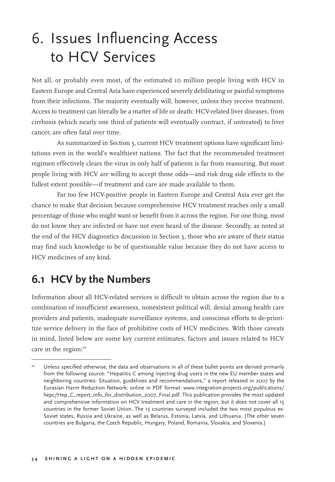# 6. Issues Influencing Access to HCV Services

Not all, or probably even most, of the estimated 10 million people living with HCV in Eastern Europe and Central Asia have experienced severely debilitating or painful symptoms from their infections. The majority eventually will, however, unless they receive treatment. Access to treatment can literally be a matter of life or death: HCV-related liver diseases, from cirrhosis (which nearly one third of patients will eventually contract, if untreated) to liver cancer, are often fatal over time.

As summarized in Section 5, current HCV treatment options have significant limitations even in the world's wealthiest nations. The fact that the recommended treatment regimen effectively clears the virus in only half of patients is far from reassuring. But most people living with HCV are willing to accept those odds—and risk drug side effects to the fullest extent possible—if treatment and care are made available to them.

Far too few HCV-positive people in Eastern Europe and Central Asia ever get the chance to make that decision because comprehensive HCV treatment reaches only a small percentage of those who might want or benefit from it across the region. For one thing, most do not know they are infected or have not even heard of the disease. Secondly, as noted at the end of the HCV diagnostics discussion in Section 3, those who are aware of their status may find such knowledge to be of questionable value because they do not have access to HCV medicines of any kind.

# **6.1 HCV by the Numbers**

Information about all HCV-related services is difficult to obtain across the region due to a combination of insufficient awareness, nonexistent political will, denial among health care providers and patients, inadequate surveillance systems, and conscious efforts to de-prioritize service delivery in the face of prohibitive costs of HCV medicines. With those caveats in mind, listed below are some key current estimates, factors and issues related to HCV care in the region:<sup>30</sup>

<sup>&</sup>lt;sup>30</sup> Unless specified otherwise, the data and observations in all of these bullet points are derived primarily from the following source: "Hepatitis C among injecting drug users in the new EU member states and neighboring countries: Situation, guidelines and recommendations," a report released in 2007 by the Eurasian Harm Reduction Network; online in PDF format: www.integration-projects.org/publications/ hepc/Hep\_C\_report\_info\_for\_distribution\_2007\_Final.pdf. This publication provides the most updated and comprehensive information on HCV treatment and care in the region, but it does not cover all 15 countries in the former Soviet Union. The 13 countries surveyed included the two most populous ex-Soviet states, Russia and Ukraine, as well as Belarus, Estonia, Latvia, and Lithuania. (The other seven countries are Bulgaria, the Czech Republic, Hungary, Poland, Romania, Slovakia, and Slovenia.)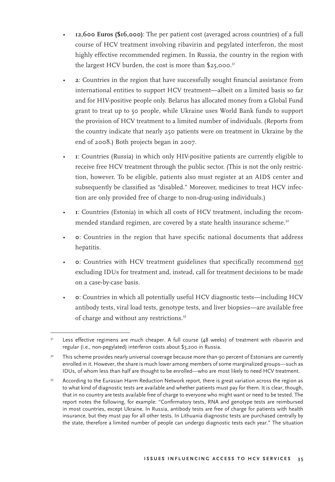- • **12,600 Euros (\$16,000)**: The per patient cost (averaged across countries) of a full course of HCV treatment involving ribavirin and pegylated interferon, the most highly effective recommended regimen. In Russia, the country in the region with the largest HCV burden, the cost is more than  $$25,000$ .<sup>31</sup>
- • **2**: Countries in the region that have successfully sought financial assistance from international entities to support HCV treatment—albeit on a limited basis so far and for HIV-positive people only. Belarus has allocated money from a Global Fund grant to treat up to 50 people, while Ukraine uses World Bank funds to support the provision of HCV treatment to a limited number of individuals. (Reports from the country indicate that nearly 250 patients were on treatment in Ukraine by the end of 2008.) Both projects began in 2007.
- • **1**: Countries (Russia) in which only HIV-positive patients are currently eligible to receive free HCV treatment through the public sector. (This is not the only restriction, however. To be eligible, patients also must register at an AIDS center and subsequently be classified as "disabled." Moreover, medicines to treat HCV infection are only provided free of charge to non-drug-using individuals.)
- • **1**: Countries (Estonia) in which all costs of HCV treatment, including the recommended standard regimen, are covered by a state health insurance scheme.<sup>32</sup>
- • **0**: Countries in the region that have specific national documents that address hepatitis.
- • **0**: Countries with HCV treatment guidelines that specifically recommend not excluding IDUs for treatment and, instead, call for treatment decisions to be made on a case-by-case basis.
- • **0**: Countries in which all potentially useful HCV diagnostic tests—including HCV antibody tests, viral load tests, genotype tests, and liver biopsies—are available free of charge and without any restrictions.<sup>33</sup>

Less effective regimens are much cheaper. A full course (48 weeks) of treatment with ribavirin and regular (i.e., non-pegylated) interferon costs about \$3,200 in Russia.

<sup>&</sup>lt;sup>32</sup> This scheme provides nearly universal coverage because more than 90 percent of Estonians are currently enrolled in it. However, the share is much lower among members of some marginalized groups—such as IDUs, of whom less than half are thought to be enrolled—who are most likely to need HCV treatment.

<sup>&</sup>lt;sup>33</sup> According to the Eurasian Harm Reduction Network report, there is great variation across the region as to what kind of diagnostic tests are available and whether patients must pay for them. It is clear, though, that in no country are tests available free of charge to everyone who might want or need to be tested. The report notes the following, for example: "Confirmatory tests, RNA and genotype tests are reimbursed in most countries, except Ukraine. In Russia, antibody tests are free of charge for patients with health insurance, but they must pay for all other tests. In Lithuania diagnostic tests are purchased centrally by the state, therefore a limited number of people can undergo diagnostic tests each year." The situation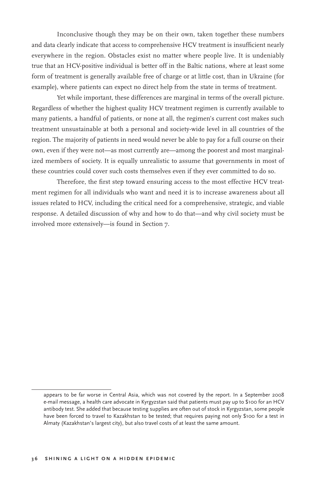Inconclusive though they may be on their own, taken together these numbers and data clearly indicate that access to comprehensive HCV treatment is insufficient nearly everywhere in the region. Obstacles exist no matter where people live. It is undeniably true that an HCV-positive individual is better off in the Baltic nations, where at least some form of treatment is generally available free of charge or at little cost, than in Ukraine (for example), where patients can expect no direct help from the state in terms of treatment.

Yet while important, these differences are marginal in terms of the overall picture. Regardless of whether the highest quality HCV treatment regimen is currently available to many patients, a handful of patients, or none at all, the regimen's current cost makes such treatment unsustainable at both a personal and society-wide level in all countries of the region. The majority of patients in need would never be able to pay for a full course on their own, even if they were not—as most currently are—among the poorest and most marginalized members of society. It is equally unrealistic to assume that governments in most of these countries could cover such costs themselves even if they ever committed to do so.

Therefore, the first step toward ensuring access to the most effective HCV treatment regimen for all individuals who want and need it is to increase awareness about all issues related to HCV, including the critical need for a comprehensive, strategic, and viable response. A detailed discussion of why and how to do that—and why civil society must be involved more extensively—is found in Section 7.

appears to be far worse in Central Asia, which was not covered by the report. In a September 2008 e-mail message, a health care advocate in Kyrgyzstan said that patients must pay up to \$100 for an HCV antibody test. She added that because testing supplies are often out of stock in Kyrgyzstan, some people have been forced to travel to Kazakhstan to be tested; that requires paying not only \$100 for a test in Almaty (Kazakhstan's largest city), but also travel costs of at least the same amount.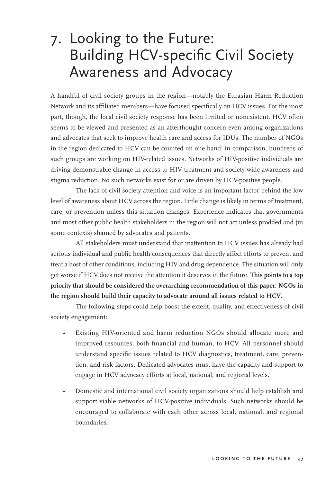# 7. Looking to the Future: Building HCV-specific Civil Society Awareness and Advocacy

A handful of civil society groups in the region—notably the Eurasian Harm Reduction Network and its affiliated members—have focused specifically on HCV issues. For the most part, though, the local civil society response has been limited or nonexistent. HCV often seems to be viewed and presented as an afterthought concern even among organizations and advocates that seek to improve health care and access for IDUs. The number of NGOs in the region dedicated to HCV can be counted on one hand; in comparison, hundreds of such groups are working on HIV-related issues. Networks of HIV-positive individuals are driving demonstrable change in access to HIV treatment and society-wide awareness and stigma reduction. No such networks exist for or are driven by HCV-positive people.

The lack of civil society attention and voice is an important factor behind the low level of awareness about HCV across the region. Little change is likely in terms of treatment, care, or prevention unless this situation changes. Experience indicates that governments and most other public health stakeholders in the region will not act unless prodded and (in some contexts) shamed by advocates and patients.

All stakeholders must understand that inattention to HCV issues has already had serious individual and public health consequences that directly affect efforts to prevent and treat a host of other conditions, including HIV and drug dependence. The situation will only get worse if HCV does not receive the attention it deserves in the future. **This points to a top priority that should be considered the overarching recommendation of this paper: NGOs in the region should build their capacity to advocate around all issues related to HCV**.

The following steps could help boost the extent, quality, and effectiveness of civil society engagement:

- Existing HIV-oriented and harm reduction NGOs should allocate more and improved resources, both financial and human, to HCV. All personnel should understand specific issues related to HCV diagnostics, treatment, care, prevention, and risk factors. Dedicated advocates must have the capacity and support to engage in HCV advocacy efforts at local, national, and regional levels.
- Domestic and international civil society organizations should help establish and support viable networks of HCV-positive individuals. Such networks should be encouraged to collaborate with each other across local, national, and regional boundaries.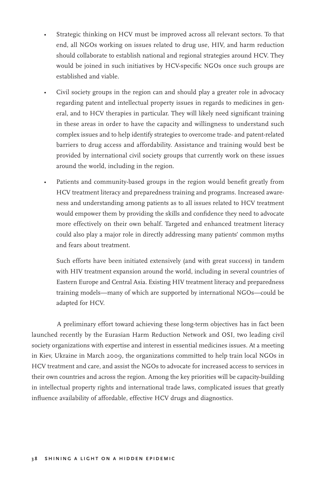- Strategic thinking on HCV must be improved across all relevant sectors. To that end, all NGOs working on issues related to drug use, HIV, and harm reduction should collaborate to establish national and regional strategies around HCV. They would be joined in such initiatives by HCV-specific NGOs once such groups are established and viable.
- Civil society groups in the region can and should play a greater role in advocacy regarding patent and intellectual property issues in regards to medicines in general, and to HCV therapies in particular. They will likely need significant training in these areas in order to have the capacity and willingness to understand such complex issues and to help identify strategies to overcome trade- and patent-related barriers to drug access and affordability. Assistance and training would best be provided by international civil society groups that currently work on these issues around the world, including in the region.
- Patients and community-based groups in the region would benefit greatly from HCV treatment literacy and preparedness training and programs. Increased awareness and understanding among patients as to all issues related to HCV treatment would empower them by providing the skills and confidence they need to advocate more effectively on their own behalf. Targeted and enhanced treatment literacy could also play a major role in directly addressing many patients' common myths and fears about treatment.

 Such efforts have been initiated extensively (and with great success) in tandem with HIV treatment expansion around the world, including in several countries of Eastern Europe and Central Asia. Existing HIV treatment literacy and preparedness training models—many of which are supported by international NGOs—could be adapted for HCV.

A preliminary effort toward achieving these long-term objectives has in fact been launched recently by the Eurasian Harm Reduction Network and OSI, two leading civil society organizations with expertise and interest in essential medicines issues. At a meeting in Kiev, Ukraine in March 2009, the organizations committed to help train local NGOs in HCV treatment and care, and assist the NGOs to advocate for increased access to services in their own countries and across the region. Among the key priorities will be capacity-building in intellectual property rights and international trade laws, complicated issues that greatly influence availability of affordable, effective HCV drugs and diagnostics.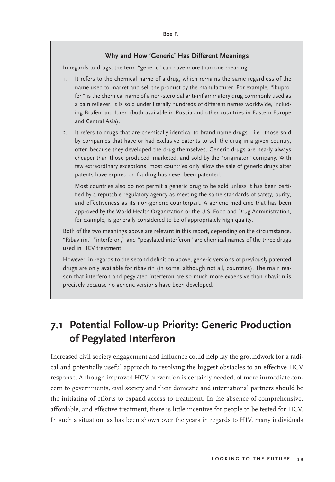#### **Why and How 'Generic' Has Different Meanings**

In regards to drugs, the term "generic" can have more than one meaning:

- 1. It refers to the chemical name of a drug, which remains the same regardless of the name used to market and sell the product by the manufacturer. For example, "ibuprofen" is the chemical name of a non-steroidal anti-inflammatory drug commonly used as a pain reliever. It is sold under literally hundreds of different names worldwide, including Brufen and Ipren (both available in Russia and other countries in Eastern Europe and Central Asia).
- 2. It refers to drugs that are chemically identical to brand-name drugs—i.e., those sold by companies that have or had exclusive patents to sell the drug in a given country, often because they developed the drug themselves. Generic drugs are nearly always cheaper than those produced, marketed, and sold by the "originator" company. With few extraordinary exceptions, most countries only allow the sale of generic drugs after patents have expired or if a drug has never been patented.

 Most countries also do not permit a generic drug to be sold unless it has been certified by a reputable regulatory agency as meeting the same standards of safety, purity, and effectiveness as its non-generic counterpart. A generic medicine that has been approved by the World Health Organization or the U.S. Food and Drug Administration, for example, is generally considered to be of appropriately high quality.

Both of the two meanings above are relevant in this report, depending on the circumstance. "Ribavirin," "interferon," and "pegylated interferon" are chemical names of the three drugs used in HCV treatment.

However, in regards to the second definition above, generic versions of previously patented drugs are only available for ribavirin (in some, although not all, countries). The main reason that interferon and pegylated interferon are so much more expensive than ribavirin is precisely because no generic versions have been developed.

## **7.1 Potential Follow-up Priority: Generic Production of Pegylated Interferon**

Increased civil society engagement and influence could help lay the groundwork for a radical and potentially useful approach to resolving the biggest obstacles to an effective HCV response. Although improved HCV prevention is certainly needed, of more immediate concern to governments, civil society and their domestic and international partners should be the initiating of efforts to expand access to treatment. In the absence of comprehensive, affordable, and effective treatment, there is little incentive for people to be tested for HCV. In such a situation, as has been shown over the years in regards to HIV, many individuals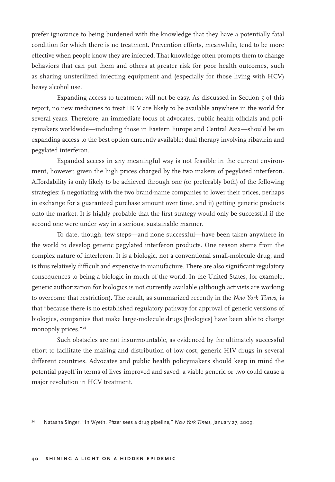prefer ignorance to being burdened with the knowledge that they have a potentially fatal condition for which there is no treatment. Prevention efforts, meanwhile, tend to be more effective when people know they are infected. That knowledge often prompts them to change behaviors that can put them and others at greater risk for poor health outcomes, such as sharing unsterilized injecting equipment and (especially for those living with HCV) heavy alcohol use.

Expanding access to treatment will not be easy. As discussed in Section 5 of this report, no new medicines to treat HCV are likely to be available anywhere in the world for several years. Therefore, an immediate focus of advocates, public health officials and policymakers worldwide—including those in Eastern Europe and Central Asia—should be on expanding access to the best option currently available: dual therapy involving ribavirin and pegylated interferon.

Expanded access in any meaningful way is not feasible in the current environment, however, given the high prices charged by the two makers of pegylated interferon. Affordability is only likely to be achieved through one (or preferably both) of the following strategies: i) negotiating with the two brand-name companies to lower their prices, perhaps in exchange for a guaranteed purchase amount over time, and ii) getting generic products onto the market. It is highly probable that the first strategy would only be successful if the second one were under way in a serious, sustainable manner.

To date, though, few steps—and none successful—have been taken anywhere in the world to develop generic pegylated interferon products. One reason stems from the complex nature of interferon. It is a biologic, not a conventional small-molecule drug, and is thus relatively difficult and expensive to manufacture. There are also significant regulatory consequences to being a biologic in much of the world. In the United States, for example, generic authorization for biologics is not currently available (although activists are working to overcome that restriction). The result, as summarized recently in the *New York Times*, is that "because there is no established regulatory pathway for approval of generic versions of biologics, companies that make large-molecule drugs [biologics] have been able to charge monopoly prices."<sup>34</sup>

Such obstacles are not insurmountable, as evidenced by the ultimately successful effort to facilitate the making and distribution of low-cost, generic HIV drugs in several different countries. Advocates and public health policymakers should keep in mind the potential payoff in terms of lives improved and saved: a viable generic or two could cause a major revolution in HCV treatment.

<sup>34</sup> Natasha Singer, "In Wyeth, Pfizer sees a drug pipeline," *New York Times*, January 27, 2009.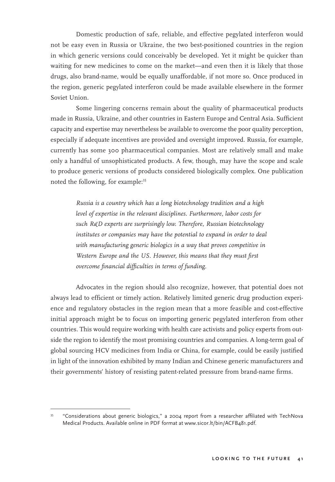Domestic production of safe, reliable, and effective pegylated interferon would not be easy even in Russia or Ukraine, the two best-positioned countries in the region in which generic versions could conceivably be developed. Yet it might be quicker than waiting for new medicines to come on the market—and even then it is likely that those drugs, also brand-name, would be equally unaffordable, if not more so. Once produced in the region, generic pegylated interferon could be made available elsewhere in the former Soviet Union.

Some lingering concerns remain about the quality of pharmaceutical products made in Russia, Ukraine, and other countries in Eastern Europe and Central Asia. Sufficient capacity and expertise may nevertheless be available to overcome the poor quality perception, especially if adequate incentives are provided and oversight improved. Russia, for example, currently has some 300 pharmaceutical companies. Most are relatively small and make only a handful of unsophisticated products. A few, though, may have the scope and scale to produce generic versions of products considered biologically complex. One publication noted the following, for example:<sup>35</sup>

> *Russia is a country which has a long biotechnology tradition and a high level of expertise in the relevant disciplines. Furthermore, labor costs for such R&D experts are surprisingly low. Therefore, Russian biotechnology institutes or companies may have the potential to expand in order to deal with manufacturing generic biologics in a way that proves competitive in Western Europe and the US. However, this means that they must first overcome financial difficulties in terms of funding.*

Advocates in the region should also recognize, however, that potential does not always lead to efficient or timely action. Relatively limited generic drug production experience and regulatory obstacles in the region mean that a more feasible and cost-effective initial approach might be to focus on importing generic pegylated interferon from other countries. This would require working with health care activists and policy experts from outside the region to identify the most promising countries and companies. A long-term goal of global sourcing HCV medicines from India or China, for example, could be easily justified in light of the innovation exhibited by many Indian and Chinese generic manufacturers and their governments' history of resisting patent-related pressure from brand-name firms.

<sup>35 &</sup>quot;Considerations about generic biologics," a 2004 report from a researcher affiliated with TechNova Medical Products. Available online in PDF format at www.sicor.lt/bin/ACFB481.pdf.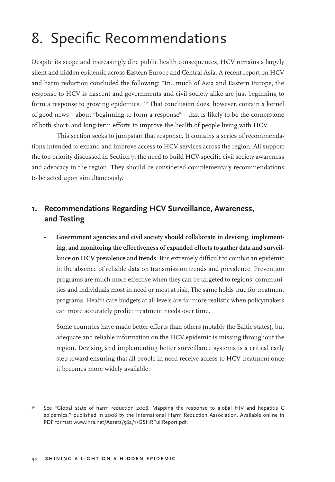# 8. Specific Recommendations

Despite its scope and increasingly dire public health consequences, HCV remains a largely silent and hidden epidemic across Eastern Europe and Central Asia. A recent report on HCV and harm reduction concluded the following: "In...much of Asia and Eastern Europe, the response to HCV is nascent and governments and civil society alike are just beginning to form a response to growing epidemics."<sup>36</sup> That conclusion does, however, contain a kernel of good news—about "beginning to form a response"—that is likely to be the cornerstone of both short- and long-term efforts to improve the health of people living with HCV.

This section seeks to jumpstart that response. It contains a series of recommendations intended to expand and improve access to HCV services across the region. All support the top priority discussed in Section 7: the need to build HCV-specific civil society awareness and advocacy in the region. They should be considered complementary recommendations to be acted upon simultaneously.

### **1. Recommendations Regarding HCV Surveillance, Awareness, and Testing**

• **Government agencies and civil society should collaborate in devising, implementing, and monitoring the effectiveness of expanded efforts to gather data and surveillance on HCV prevalence and trends.** It is extremely difficult to combat an epidemic in the absence of reliable data on transmission trends and prevalence. Prevention programs are much more effective when they can be targeted to regions, communities and individuals most in need or most at risk. The same holds true for treatment programs. Health care budgets at all levels are far more realistic when policymakers can more accurately predict treatment needs over time.

 Some countries have made better efforts than others (notably the Baltic states), but adequate and reliable information on the HCV epidemic is missing throughout the region. Devising and implementing better surveillance systems is a critical early step toward ensuring that all people in need receive access to HCV treatment once it becomes more widely available.

<sup>&</sup>lt;sup>36</sup> See "Global state of harm reduction 2008: Mapping the response to global HIV and hepatitis C epidemics," published in 2008 by the International Harm Reduction Association. Available online in PDF format: www.ihra.net/Assets/582/1/GSHRFullReport.pdf.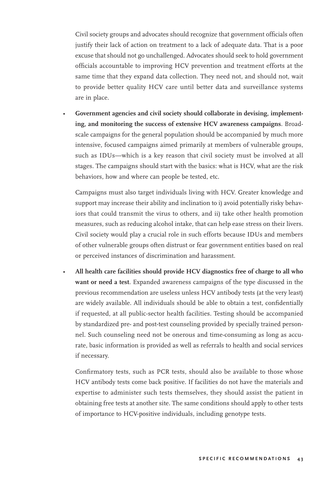Civil society groups and advocates should recognize that government officials often justify their lack of action on treatment to a lack of adequate data. That is a poor excuse that should not go unchallenged. Advocates should seek to hold government officials accountable to improving HCV prevention and treatment efforts at the same time that they expand data collection. They need not, and should not, wait to provide better quality HCV care until better data and surveillance systems are in place.

Government agencies and civil society should collaborate in devising, implement**ing, and monitoring the success of extensive HCV awareness campaigns**. Broadscale campaigns for the general population should be accompanied by much more intensive, focused campaigns aimed primarily at members of vulnerable groups, such as IDUs—which is a key reason that civil society must be involved at all stages. The campaigns should start with the basics: what is HCV, what are the risk behaviors, how and where can people be tested, etc.

 Campaigns must also target individuals living with HCV. Greater knowledge and support may increase their ability and inclination to i) avoid potentially risky behaviors that could transmit the virus to others, and ii) take other health promotion measures, such as reducing alcohol intake, that can help ease stress on their livers. Civil society would play a crucial role in such efforts because IDUs and members of other vulnerable groups often distrust or fear government entities based on real or perceived instances of discrimination and harassment.

• **All health care facilities should provide HCV diagnostics free of charge to all who want or need a test**. Expanded awareness campaigns of the type discussed in the previous recommendation are useless unless HCV antibody tests (at the very least) are widely available. All individuals should be able to obtain a test, confidentially if requested, at all public-sector health facilities. Testing should be accompanied by standardized pre- and post-test counseling provided by specially trained personnel. Such counseling need not be onerous and time-consuming as long as accurate, basic information is provided as well as referrals to health and social services if necessary.

 Confirmatory tests, such as PCR tests, should also be available to those whose HCV antibody tests come back positive. If facilities do not have the materials and expertise to administer such tests themselves, they should assist the patient in obtaining free tests at another site. The same conditions should apply to other tests of importance to HCV-positive individuals, including genotype tests.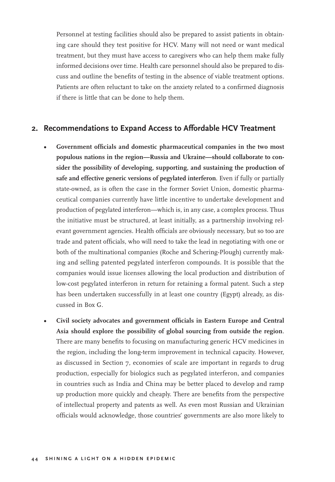Personnel at testing facilities should also be prepared to assist patients in obtaining care should they test positive for HCV. Many will not need or want medical treatment, but they must have access to caregivers who can help them make fully informed decisions over time. Health care personnel should also be prepared to discuss and outline the benefits of testing in the absence of viable treatment options. Patients are often reluctant to take on the anxiety related to a confirmed diagnosis if there is little that can be done to help them.

#### **2. Recommendations to Expand Access to Affordable HCV Treatment**

- **Government officials and domestic pharmaceutical companies in the two most populous nations in the region—Russia and Ukraine—should collaborate to consider the possibility of developing, supporting, and sustaining the production of safe and effective generic versions of pegylated interferon**. Even if fully or partially state-owned, as is often the case in the former Soviet Union, domestic pharmaceutical companies currently have little incentive to undertake development and production of pegylated interferon—which is, in any case, a complex process. Thus the initiative must be structured, at least initially, as a partnership involving relevant government agencies. Health officials are obviously necessary, but so too are trade and patent officials, who will need to take the lead in negotiating with one or both of the multinational companies (Roche and Schering-Plough) currently making and selling patented pegylated interferon compounds. It is possible that the companies would issue licenses allowing the local production and distribution of low-cost pegylated interferon in return for retaining a formal patent. Such a step has been undertaken successfully in at least one country (Egypt) already, as discussed in Box G.
- **Civil society advocates and government officials in Eastern Europe and Central Asia should explore the possibility of global sourcing from outside the region**. There are many benefits to focusing on manufacturing generic HCV medicines in the region, including the long-term improvement in technical capacity. However, as discussed in Section 7, economies of scale are important in regards to drug production, especially for biologics such as pegylated interferon, and companies in countries such as India and China may be better placed to develop and ramp up production more quickly and cheaply. There are benefits from the perspective of intellectual property and patents as well. As even most Russian and Ukrainian officials would acknowledge, those countries' governments are also more likely to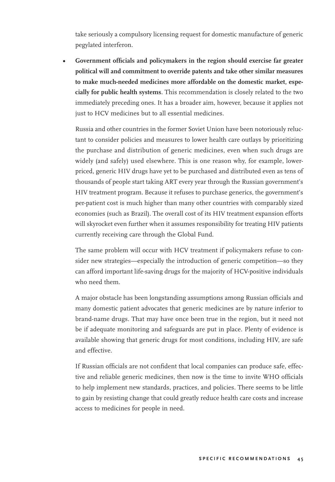take seriously a compulsory licensing request for domestic manufacture of generic pegylated interferon.

**• Government officials and policymakers in the region should exercise far greater political will and commitment to override patents and take other similar measures to make much-needed medicines more affordable on the domestic market, especially for public health systems**. This recommendation is closely related to the two immediately preceding ones. It has a broader aim, however, because it applies not just to HCV medicines but to all essential medicines.

 Russia and other countries in the former Soviet Union have been notoriously reluctant to consider policies and measures to lower health care outlays by prioritizing the purchase and distribution of generic medicines, even when such drugs are widely (and safely) used elsewhere. This is one reason why, for example, lowerpriced, generic HIV drugs have yet to be purchased and distributed even as tens of thousands of people start taking ART every year through the Russian government's HIV treatment program. Because it refuses to purchase generics, the government's per-patient cost is much higher than many other countries with comparably sized economies (such as Brazil). The overall cost of its HIV treatment expansion efforts will skyrocket even further when it assumes responsibility for treating HIV patients currently receiving care through the Global Fund.

 The same problem will occur with HCV treatment if policymakers refuse to consider new strategies—especially the introduction of generic competition—so they can afford important life-saving drugs for the majority of HCV-positive individuals who need them.

 A major obstacle has been longstanding assumptions among Russian officials and many domestic patient advocates that generic medicines are by nature inferior to brand-name drugs. That may have once been true in the region, but it need not be if adequate monitoring and safeguards are put in place. Plenty of evidence is available showing that generic drugs for most conditions, including HIV, are safe and effective.

 If Russian officials are not confident that local companies can produce safe, effective and reliable generic medicines, then now is the time to invite WHO officials to help implement new standards, practices, and policies. There seems to be little to gain by resisting change that could greatly reduce health care costs and increase access to medicines for people in need.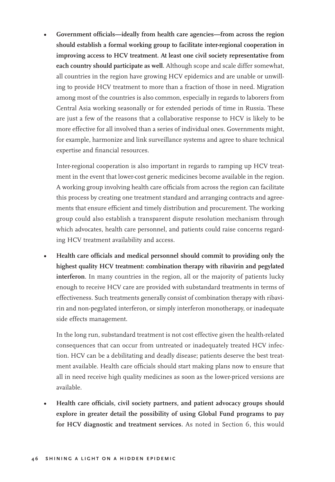**• Government officials—ideally from health care agencies—from across the region should establish a formal working group to facilitate inter-regional cooperation in improving access to HCV treatment. At least one civil society representative from each country should participate as well**. Although scope and scale differ somewhat, all countries in the region have growing HCV epidemics and are unable or unwilling to provide HCV treatment to more than a fraction of those in need. Migration among most of the countries is also common, especially in regards to laborers from Central Asia working seasonally or for extended periods of time in Russia. These are just a few of the reasons that a collaborative response to HCV is likely to be more effective for all involved than a series of individual ones. Governments might, for example, harmonize and link surveillance systems and agree to share technical expertise and financial resources.

 Inter-regional cooperation is also important in regards to ramping up HCV treatment in the event that lower-cost generic medicines become available in the region. A working group involving health care officials from across the region can facilitate this process by creating one treatment standard and arranging contracts and agreements that ensure efficient and timely distribution and procurement. The working group could also establish a transparent dispute resolution mechanism through which advocates, health care personnel, and patients could raise concerns regarding HCV treatment availability and access.

**• Health care officials and medical personnel should commit to providing only the highest quality HCV treatment: combination therapy with ribavirin and pegylated interferon**. In many countries in the region, all or the majority of patients lucky enough to receive HCV care are provided with substandard treatments in terms of effectiveness. Such treatments generally consist of combination therapy with ribavirin and non-pegylated interferon, or simply interferon monotherapy, or inadequate side effects management.

 In the long run, substandard treatment is not cost effective given the health-related consequences that can occur from untreated or inadequately treated HCV infection. HCV can be a debilitating and deadly disease; patients deserve the best treatment available. Health care officials should start making plans now to ensure that all in need receive high quality medicines as soon as the lower-priced versions are available.

**• Health care officials, civil society partners, and patient advocacy groups should explore in greater detail the possibility of using Global Fund programs to pay for HCV diagnostic and treatment services.** As noted in Section 6, this would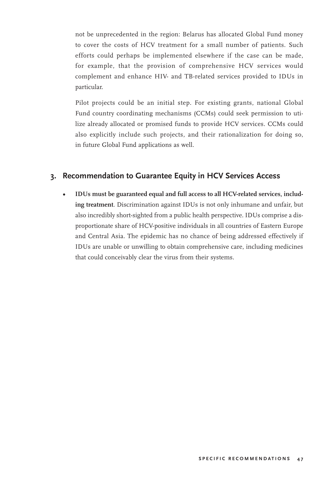not be unprecedented in the region: Belarus has allocated Global Fund money to cover the costs of HCV treatment for a small number of patients. Such efforts could perhaps be implemented elsewhere if the case can be made, for example, that the provision of comprehensive HCV services would complement and enhance HIV- and TB-related services provided to IDUs in particular.

 Pilot projects could be an initial step. For existing grants, national Global Fund country coordinating mechanisms (CCMs) could seek permission to utilize already allocated or promised funds to provide HCV services. CCMs could also explicitly include such projects, and their rationalization for doing so, in future Global Fund applications as well.

#### **3. Recommendation to Guarantee Equity in HCV Services Access**

**• IDUs must be guaranteed equal and full access to all HCV-related services, including treatment**. Discrimination against IDUs is not only inhumane and unfair, but also incredibly short-sighted from a public health perspective. IDUs comprise a disproportionate share of HCV-positive individuals in all countries of Eastern Europe and Central Asia. The epidemic has no chance of being addressed effectively if IDUs are unable or unwilling to obtain comprehensive care, including medicines that could conceivably clear the virus from their systems.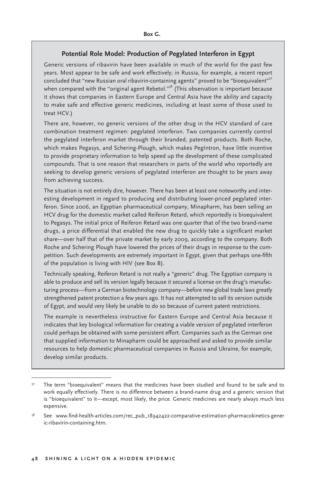#### **Potential Role Model: Production of Pegylated Interferon in Egypt**

Generic versions of ribavirin have been available in much of the world for the past few years. Most appear to be safe and work effectively; in Russia, for example, a recent report concluded that "new Russian oral ribavirin-containing agents" proved to be "bioequivalent"<sup>37</sup> when compared with the "original agent Rebetol."<sup>38</sup> (This observation is important because it shows that companies in Eastern Europe and Central Asia have the ability and capacity to make safe and effective generic medicines, including at least some of those used to treat HCV.)

There are, however, no generic versions of the other drug in the HCV standard of care combination treatment regimen: pegylated interferon. Two companies currently control the pegylated interferon market through their branded, patented products. Both Roche, which makes Pegasys, and Schering-Plough, which makes PegIntron, have little incentive to provide proprietary information to help speed up the development of these complicated compounds. That is one reason that researchers in parts of the world who reportedly are seeking to develop generic versions of pegylated interferon are thought to be years away from achieving success.

The situation is not entirely dire, however. There has been at least one noteworthy and interesting development in regard to producing and distributing lower-priced pegylated interferon. Since 2006, an Egyptian pharmaceutical company, Minapharm, has been selling an HCV drug for the domestic market called Reiferon Retard, which reportedly is bioequivalent to Pegasys. The initial price of Reiferon Retard was one quarter that of the two brand-name drugs, a price differential that enabled the new drug to quickly take a significant market share—over half that of the private market by early 2009, according to the company. Both Roche and Schering Plough have lowered the prices of their drugs in response to the competition. Such developments are extremely important in Egypt, given that perhaps one-fifth of the population is living with HIV (see Box B).

Technically speaking, Reiferon Retard is not really a "generic" drug. The Egyptian company is able to produce and sell its version legally because it secured a license on the drug's manufacturing process—from a German biotechnology company—before new global trade laws greatly strengthened patent protection a few years ago. It has not attempted to sell its version outside of Egypt, and would very likely be unable to do so because of current patent restrictions.

The example is nevertheless instructive for Eastern Europe and Central Asia because it indicates that key biological information for creating a viable version of pegylated interferon could perhaps be obtained with some persistent effort. Companies such as the German one that supplied information to Minapharm could be approached and asked to provide similar resources to help domestic pharmaceutical companies in Russia and Ukraine, for example, develop similar products.

<sup>&</sup>lt;sup>37</sup> The term "bioequivalent" means that the medicines have been studied and found to be safe and to work equally effectively. There is no difference between a brand-name drug and a generic version that is "bioequivalent" to it—except, most likely, the price. Generic medicines are nearly always much less expensive.

<sup>38</sup> See www.find-health-articles.com/rec\_pub\_18942422-comparative-estimation-pharmacokinetics-gener ic-ribavirin-containing.htm.